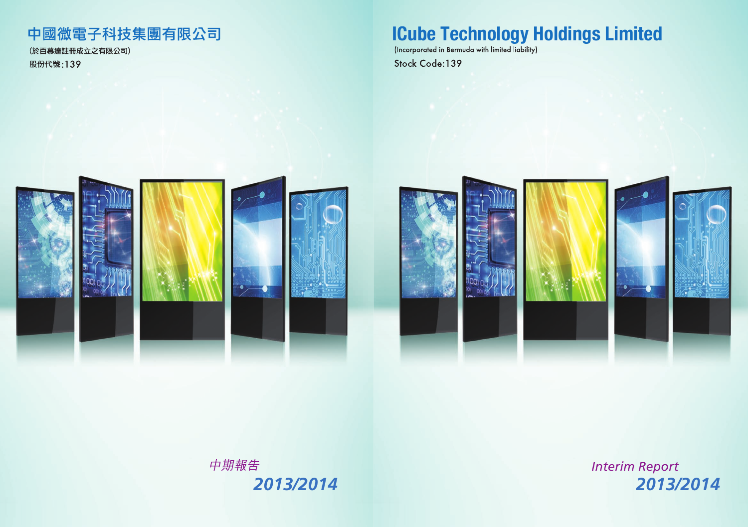# **ICube Technology Holdings Limited**

Stock Code: 139



*Interim Report 2013/2014 2013/2014*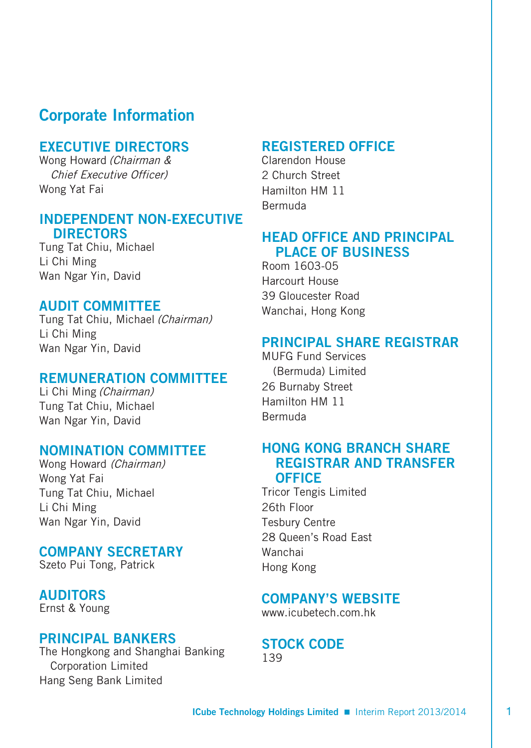# **Corporate Information**

# **EXECUTIVE DIRECTORS**

Wong Howard (Chairman & Chief Executive Officer) Wong Yat Fai

## **INDEPENDENT NON-EXECUTIVE DIRECTORS**

Tung Tat Chiu, Michael Li Chi Ming Wan Ngar Yin, David

# **AUDIT COMMITTEE**

Tung Tat Chiu, Michael (Chairman) Li Chi Ming Wan Ngar Yin, David

## **REMUNERATION COMMITTEE**

Li Chi Ming (Chairman) Tung Tat Chiu, Michael Wan Ngar Yin, David

#### **NOMINATION COMMITTEE**

Wong Howard (Chairman) Wong Yat Fai Tung Tat Chiu, Michael Li Chi Ming Wan Ngar Yin, David

## **COMPANY SECRETARY**

Szeto Pui Tong, Patrick

# **AUDITORS**

Ernst & Young

## **PRINCIPAL BANKERS**

The Hongkong and Shanghai Banking Corporation Limited Hang Seng Bank Limited

## **REGISTERED OFFICE**

Clarendon House 2 Church Street Hamilton HM 11 Bermuda

# **HEAD OFFICE AND PRINCIPAL PLACE OF BUSINESS**

Room 1603-05 Harcourt House 39 Gloucester Road Wanchai, Hong Kong

## **PRINCIPAL SHARE REGISTRAR**

MUFG Fund Services (Bermuda) Limited 26 Burnaby Street Hamilton HM 11 Bermuda

# **HONG KONG BRANCH SHARE REGISTRAR AND TRANSFER OFFICE**

Tricor Tengis Limited 26th Floor Tesbury Centre 28 Queen's Road East Wanchai Hong Kong

# **COMPANY'S WEBSITE**

www.icubetech.com.hk

#### **STOCK CODE** 139

**ICube Technology Holdings Limited** Interim Report 2013/2014 1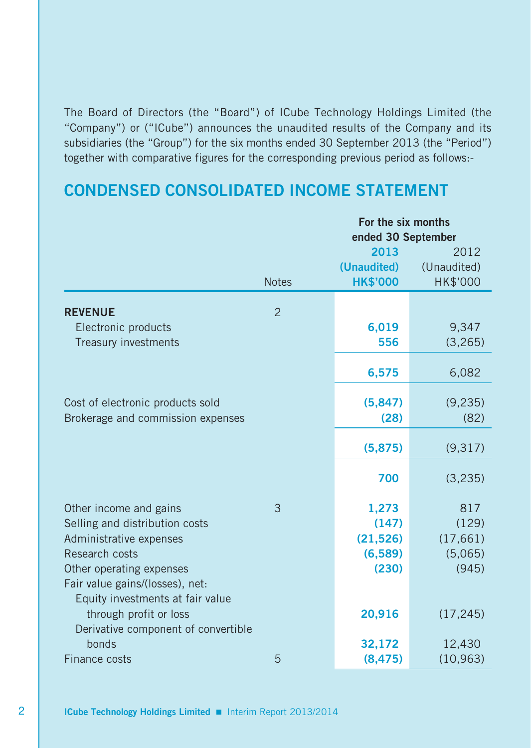The Board of Directors (the "Board") of ICube Technology Holdings Limited (the "Company") or ("ICube") announces the unaudited results of the Company and its subsidiaries (the "Group") for the six months ended 30 September 2013 (the "Period") together with comparative figures for the corresponding previous period as follows:-

# **CONDENSED CONSOLIDATED INCOME STATEMENT**

|                                           |                | For the six months<br>ended 30 September |                     |  |  |
|-------------------------------------------|----------------|------------------------------------------|---------------------|--|--|
|                                           |                | 2013                                     | 2012                |  |  |
|                                           |                | (Unaudited)                              | (Unaudited)         |  |  |
|                                           | <b>Notes</b>   | <b>HK\$'000</b>                          | HK\$'000            |  |  |
| <b>REVENUE</b>                            | $\overline{2}$ |                                          |                     |  |  |
| Electronic products                       |                | 6,019                                    | 9,347               |  |  |
| Treasury investments                      |                | 556                                      | (3, 265)            |  |  |
|                                           |                |                                          |                     |  |  |
|                                           |                | 6,575                                    | 6,082               |  |  |
|                                           |                |                                          |                     |  |  |
| Cost of electronic products sold          |                | (5,847)                                  | (9,235)             |  |  |
| Brokerage and commission expenses         |                | (28)                                     | (82)                |  |  |
|                                           |                | (5,875)                                  | (9,317)             |  |  |
|                                           |                | 700                                      | (3, 235)            |  |  |
|                                           |                |                                          |                     |  |  |
| Other income and gains                    | 3              | 1,273                                    | 817                 |  |  |
| Selling and distribution costs            |                | (147)                                    | (129)               |  |  |
| Administrative expenses<br>Research costs |                | (21, 526)<br>(6,589)                     | (17,661)<br>(5,065) |  |  |
| Other operating expenses                  |                | (230)                                    | (945)               |  |  |
| Fair value gains/(losses), net:           |                |                                          |                     |  |  |
| Equity investments at fair value          |                |                                          |                     |  |  |
| through profit or loss                    |                | 20,916                                   | (17, 245)           |  |  |
| Derivative component of convertible       |                |                                          |                     |  |  |
| bonds                                     |                | 32,172                                   | 12,430              |  |  |
| <b>Finance costs</b>                      | 5              | (8, 475)                                 | (10, 963)           |  |  |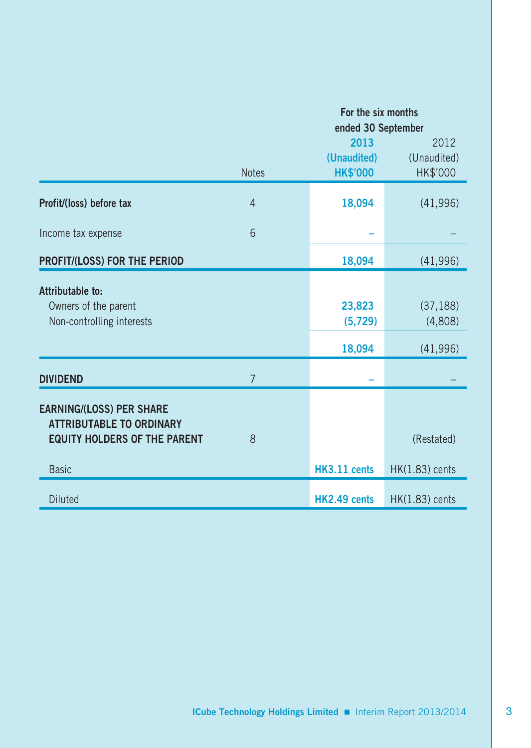|                                                                                                                           |                | For the six months<br>ended 30 September |                                  |  |  |
|---------------------------------------------------------------------------------------------------------------------------|----------------|------------------------------------------|----------------------------------|--|--|
|                                                                                                                           | <b>Notes</b>   | 2013<br>(Unaudited)<br><b>HK\$'000</b>   | 2012<br>(Unaudited)<br>HK\$'000  |  |  |
| Profit/(loss) before tax                                                                                                  | $\overline{4}$ | 18,094                                   | (41,996)                         |  |  |
| Income tax expense                                                                                                        | 6              |                                          |                                  |  |  |
| PROFIT/(LOSS) FOR THE PERIOD                                                                                              |                | 18,094                                   | (41,996)                         |  |  |
| Attributable to:<br>Owners of the parent<br>Non-controlling interests                                                     |                | 23,823<br>(5,729)<br>18,094              | (37, 188)<br>(4,808)<br>(41,996) |  |  |
| <b>DIVIDEND</b>                                                                                                           | $\overline{7}$ |                                          |                                  |  |  |
| <b>EARNING/(LOSS) PER SHARE</b><br><b>ATTRIBUTABLE TO ORDINARY</b><br><b>EQUITY HOLDERS OF THE PARENT</b><br><b>Basic</b> | 8              | HK3.11 cents                             | (Restated)<br>HK(1.83) cents     |  |  |
| <b>Diluted</b>                                                                                                            |                | HK2.49 cents                             | $HK(1.83)$ cents                 |  |  |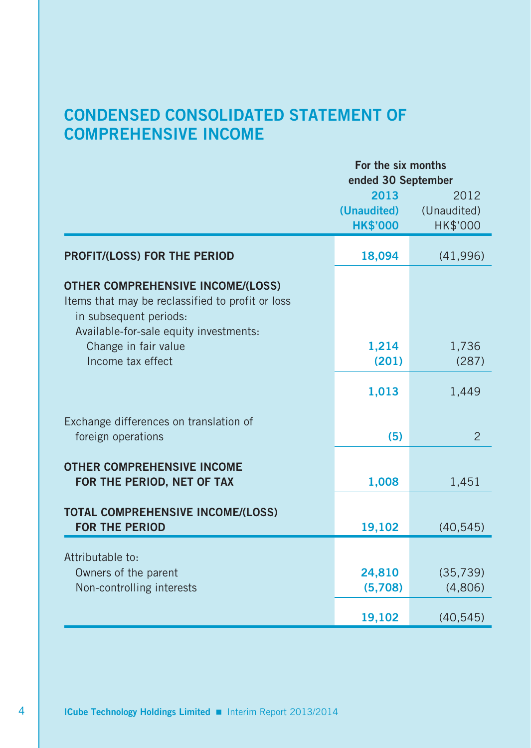# **CONDENSED CONSOLIDATED STATEMENT OF COMPREHENSIVE INCOME**

|                                                                                                                                                                  | For the six months                 |                |  |  |
|------------------------------------------------------------------------------------------------------------------------------------------------------------------|------------------------------------|----------------|--|--|
|                                                                                                                                                                  | ended 30 September<br>2013<br>2012 |                |  |  |
|                                                                                                                                                                  | (Unaudited)                        | (Unaudited)    |  |  |
|                                                                                                                                                                  | <b>HK\$'000</b>                    | HK\$'000       |  |  |
|                                                                                                                                                                  |                                    |                |  |  |
| <b>PROFIT/(LOSS) FOR THE PERIOD</b>                                                                                                                              | 18,094                             | (41, 996)      |  |  |
| <b>OTHER COMPREHENSIVE INCOME/(LOSS)</b><br>Items that may be reclassified to profit or loss<br>in subsequent periods:<br>Available-for-sale equity investments: |                                    |                |  |  |
| Change in fair value                                                                                                                                             | 1,214                              | 1,736          |  |  |
| Income tax effect                                                                                                                                                | (201)                              | (287)          |  |  |
|                                                                                                                                                                  | 1,013                              | 1,449          |  |  |
| Exchange differences on translation of                                                                                                                           |                                    |                |  |  |
| foreign operations                                                                                                                                               | (5)                                | $\overline{2}$ |  |  |
| <b>OTHER COMPREHENSIVE INCOME</b><br>FOR THE PERIOD, NET OF TAX                                                                                                  | 1,008                              | 1,451          |  |  |
| <b>TOTAL COMPREHENSIVE INCOME/(LOSS)</b><br><b>FOR THE PERIOD</b>                                                                                                | 19,102                             | (40, 545)      |  |  |
| Attributable to:                                                                                                                                                 |                                    |                |  |  |
| Owners of the parent                                                                                                                                             | 24,810                             | (35, 739)      |  |  |
| Non-controlling interests                                                                                                                                        | (5,708)                            | (4,806)        |  |  |
|                                                                                                                                                                  | 19,102                             | (40, 545)      |  |  |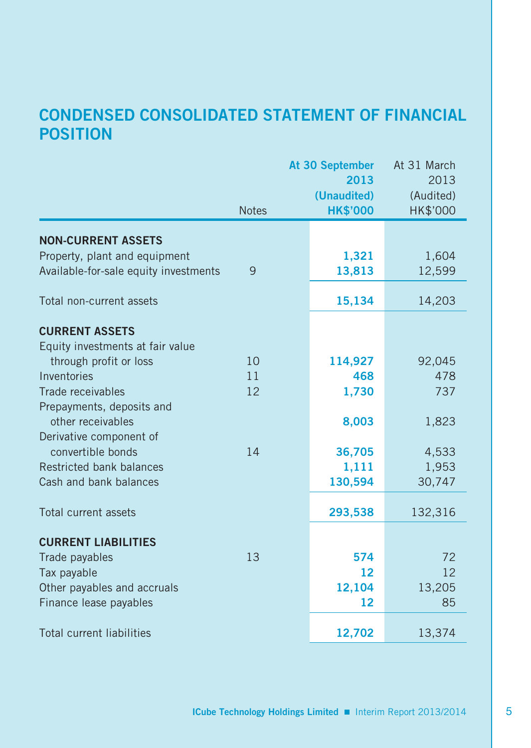# **CONDENSED CONSOLIDATED STATEMENT OF FINANCIAL POSITION**

|                                       |              | At 30 September   | At 31 March |
|---------------------------------------|--------------|-------------------|-------------|
|                                       |              | 2013              | 2013        |
|                                       |              | (Unaudited)       | (Audited)   |
|                                       | <b>Notes</b> | <b>HK\$'000</b>   | HK\$'000    |
| <b>NON-CURRENT ASSETS</b>             |              |                   |             |
| Property, plant and equipment         |              | 1,321             | 1,604       |
| Available-for-sale equity investments | 9            | 13,813            | 12,599      |
| Total non-current assets              |              | 15,134            | 14,203      |
| <b>CURRENT ASSETS</b>                 |              |                   |             |
| Equity investments at fair value      |              |                   |             |
| through profit or loss                | 10           | 114,927           | 92,045      |
| Inventories                           | 11           | 468               | 478         |
| Trade receivables                     | 12           | 1,730             | 737         |
| Prepayments, deposits and             |              |                   |             |
| other receivables                     |              | 8,003             | 1,823       |
| Derivative component of               |              |                   |             |
| convertible bonds                     | 14           | 36,705            | 4,533       |
| Restricted bank balances              |              | 1,111             | 1,953       |
| Cash and bank balances                |              | 130,594           | 30,747      |
| Total current assets                  |              | 293,538           | 132,316     |
| <b>CURRENT LIABILITIES</b>            |              |                   |             |
| Trade payables                        | 13           | 574               | 72          |
| Tax payable                           |              | $12 \overline{ }$ | 12          |
| Other payables and accruals           |              | 12,104            | 13,205      |
| Finance lease payables                |              | 12                | 85          |
| <b>Total current liabilities</b>      |              | 12,702            | 13,374      |
|                                       |              |                   |             |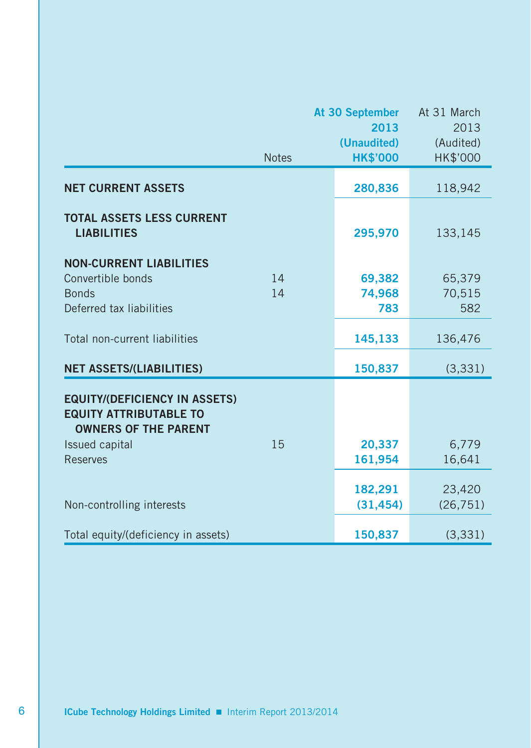|                                                                                                      |              | At 30 September     | At 31 March       |
|------------------------------------------------------------------------------------------------------|--------------|---------------------|-------------------|
|                                                                                                      |              | 2013<br>(Unaudited) | 2013<br>(Audited) |
|                                                                                                      | <b>Notes</b> | <b>HK\$'000</b>     | HK\$'000          |
| <b>NET CURRENT ASSETS</b>                                                                            |              | 280,836             | 118,942           |
| <b>TOTAL ASSETS LESS CURRENT</b><br><b>LIABILITIES</b>                                               |              | 295,970             | 133,145           |
| <b>NON-CURRENT LIABILITIES</b><br>Convertible bonds                                                  | 14           | 69,382              | 65,379            |
| <b>Bonds</b>                                                                                         | 14           | 74,968              | 70,515            |
| Deferred tax liabilities                                                                             |              | 783                 | 582               |
| Total non-current liabilities                                                                        |              | 145,133             | 136,476           |
| <b>NET ASSETS/(LIABILITIES)</b>                                                                      |              | 150,837             | (3, 331)          |
| <b>EQUITY/(DEFICIENCY IN ASSETS)</b><br><b>EQUITY ATTRIBUTABLE TO</b><br><b>OWNERS OF THE PARENT</b> |              |                     |                   |
| Issued capital                                                                                       | 15           | 20,337              | 6,779             |
| <b>Reserves</b>                                                                                      |              | 161,954             | 16,641            |
|                                                                                                      |              | 182,291             | 23,420            |
| Non-controlling interests                                                                            |              | (31, 454)           | (26, 751)         |
| Total equity/(deficiency in assets)                                                                  |              | 150,837             | (3, 331)          |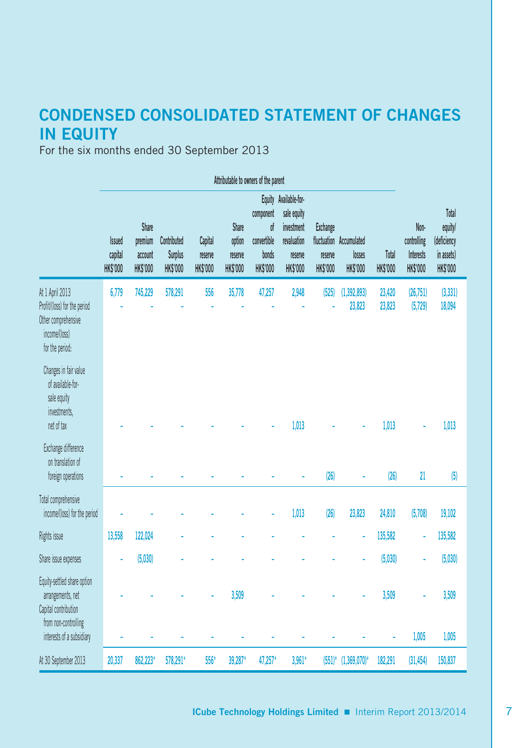# **CONDENSED CONSOLIDATED STATEMENT OF CHANGES IN EQUITY**

For the six months ended 30 September 2013

|                                                                                                            | Attributable to owners of the parent |                                                |                                                  |                                       |                                        |                                                            |                                                                                                 |                                        |                                                      |                          |                                                     |                                                                  |
|------------------------------------------------------------------------------------------------------------|--------------------------------------|------------------------------------------------|--------------------------------------------------|---------------------------------------|----------------------------------------|------------------------------------------------------------|-------------------------------------------------------------------------------------------------|----------------------------------------|------------------------------------------------------|--------------------------|-----------------------------------------------------|------------------------------------------------------------------|
|                                                                                                            | <b>Issued</b><br>capital<br>HK\$'000 | Share<br>premium<br>account<br><b>HK\$'000</b> | Contributed<br><b>Surplus</b><br><b>HK\$'000</b> | Capital<br>reserve<br><b>HK\$'000</b> | Share<br>option<br>reserve<br>HK\$'000 | component<br>of<br>convertible<br>bonds<br><b>HK\$'000</b> | Equity Available-for-<br>sale equity<br>investment<br>revaluation<br>reserve<br><b>HK\$'000</b> | <b>Exchange</b><br>reserve<br>HK\$'000 | fluctuation Accumulated<br>losses<br><b>HK\$'000</b> | Total<br><b>HK\$'000</b> | Non-<br>controlling<br>Interests<br><b>HK\$'000</b> | Total<br>equity/<br>(deficiency<br>in assets)<br><b>HK\$'000</b> |
| At 1 April 2013<br>Profit/(loss) for the period<br>Other comprehensive<br>income/(loss)<br>for the period: | 6,779                                | 745,229                                        | 578,291                                          | 556                                   | 35,778                                 | 47,257                                                     | 2,948                                                                                           | (525)                                  | (1, 392, 893)<br>23,823                              | 23,420<br>23,823         | (26,751)<br>(5,729)                                 | (3, 331)<br>18,094                                               |
| Changes in fair value<br>of available-for-<br>sale equity<br>investments,<br>net of tax                    |                                      |                                                |                                                  |                                       |                                        |                                                            | 1,013                                                                                           |                                        |                                                      | 1,013                    |                                                     | 1,013                                                            |
| Exchange difference<br>on translation of<br>foreign operations                                             |                                      |                                                |                                                  |                                       |                                        |                                                            |                                                                                                 | (26)                                   |                                                      | (26)                     | 21                                                  | (5)                                                              |
| Total comprehensive<br>income/(loss) for the period                                                        |                                      |                                                |                                                  |                                       |                                        |                                                            | 1,013                                                                                           | (26)                                   | 23,823                                               | 24,810                   | (5,708)                                             | 19,102                                                           |
| Rights issue                                                                                               | 13,558                               | 122,024                                        |                                                  |                                       |                                        |                                                            |                                                                                                 |                                        |                                                      | 135,582                  | ä                                                   | 135,582                                                          |
| Share issue expenses                                                                                       |                                      | (5,030)                                        |                                                  |                                       |                                        |                                                            |                                                                                                 |                                        |                                                      | (5,030)                  |                                                     | (5,030)                                                          |
| Equity-settled share option<br>arrangements, net<br>Capital contribution<br>from non-controlling           |                                      |                                                |                                                  |                                       | 3,509                                  |                                                            |                                                                                                 |                                        |                                                      | 3,509                    |                                                     | 3,509                                                            |
| interests of a subsidiary                                                                                  |                                      |                                                |                                                  |                                       |                                        |                                                            |                                                                                                 |                                        |                                                      | ÷                        | 1,005                                               | 1,005                                                            |
| At 30 September 2013                                                                                       | 20,337                               | 862,223*                                       | 578,291*                                         | 556*                                  | 39,287*                                | 47,257*                                                    | $3,961*$                                                                                        | $(551)^*$                              | $(1,369,070)$ *                                      | 182,291                  | (31, 454)                                           | 150,837                                                          |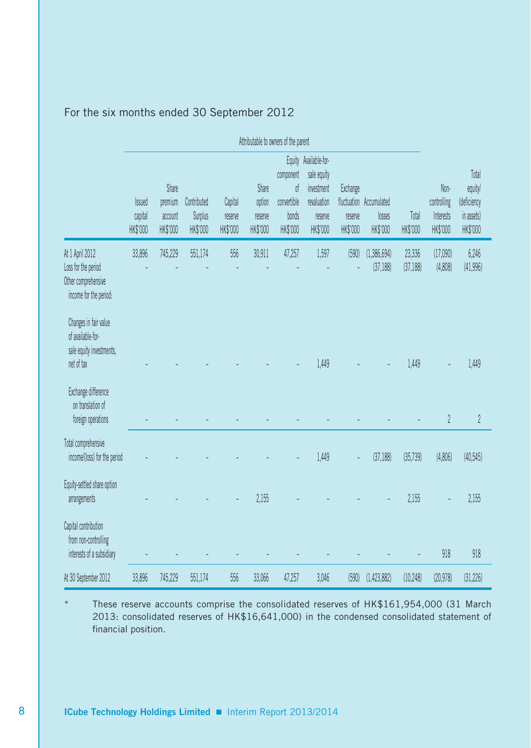|                                                                                                             | Attributable to owners of the parent |                                         |                                    |                                |                                        |                                                     |                                                                                          |                                 |                                               |                     |                                              |                                                           |
|-------------------------------------------------------------------------------------------------------------|--------------------------------------|-----------------------------------------|------------------------------------|--------------------------------|----------------------------------------|-----------------------------------------------------|------------------------------------------------------------------------------------------|---------------------------------|-----------------------------------------------|---------------------|----------------------------------------------|-----------------------------------------------------------|
|                                                                                                             | <b>Issued</b><br>capital<br>HK\$'000 | Share<br>premium<br>account<br>HK\$'000 | Contributed<br>Surplus<br>HK\$'000 | Capital<br>reserve<br>HK\$'000 | Share<br>option<br>reserve<br>HK\$'000 | component<br>0f<br>convertible<br>bonds<br>HK\$'000 | Equity Available-for-<br>sale equity<br>investment<br>revaluation<br>reserve<br>HK\$'000 | Exchange<br>reserve<br>HK\$'000 | fluctuation Accumulated<br>losses<br>HK\$'000 | Total<br>HK\$'000   | Non-<br>controlling<br>Interests<br>HK\$'000 | Total<br>equity/<br>(deficiency<br>in assets)<br>HK\$'000 |
| At 1 April 2012<br>Loss for the period<br>Other comprehensive<br>income for the period:                     | 33,896                               | 745,229                                 | 551,174                            | 556                            | 30,911                                 | 47,257                                              | 1,597                                                                                    | (590)                           | (1,386,694)<br>(37, 188)                      | 23,336<br>(37, 188) | (17,090)<br>(4,808)                          | 6,246<br>(41,996)                                         |
| Changes in fair value<br>of available-for-<br>sale equity investments,<br>net of tax<br>Exchange difference |                                      |                                         |                                    |                                |                                        |                                                     | 1,449                                                                                    |                                 |                                               | 1,449               |                                              | 1,449                                                     |
| on translation of<br>foreign operations                                                                     |                                      |                                         |                                    |                                |                                        |                                                     |                                                                                          |                                 |                                               |                     | $\overline{2}$                               | $\overline{2}$                                            |
| Total comprehensive<br>income/(loss) for the period                                                         |                                      |                                         |                                    |                                |                                        |                                                     | 1,449                                                                                    |                                 | (37, 188)                                     | (35, 739)           | (4,806)                                      | (40,545)                                                  |
| Equity-settled share option<br>arrangements                                                                 |                                      |                                         |                                    |                                | 2,155                                  |                                                     |                                                                                          |                                 |                                               | 2,155               |                                              | 2,155                                                     |
| Capital contribution<br>from non-controlling<br>interests of a subsidiary                                   |                                      |                                         |                                    |                                |                                        |                                                     |                                                                                          |                                 |                                               |                     | 918                                          | 918                                                       |
| At 30 September 2012                                                                                        | 33,896                               | 745,229                                 | 551.174                            | 556                            | 33,066                                 | 47,257                                              | 3,046                                                                                    | (590)                           | (1,423,882)                                   | (10, 248)           | (20, 978)                                    | (31, 226)                                                 |

## For the six months ended 30 September 2012

These reserve accounts comprise the consolidated reserves of HK\$161,954,000 (31 March 2013: consolidated reserves of HK\$16,641,000) in the condensed consolidated statement of financial position.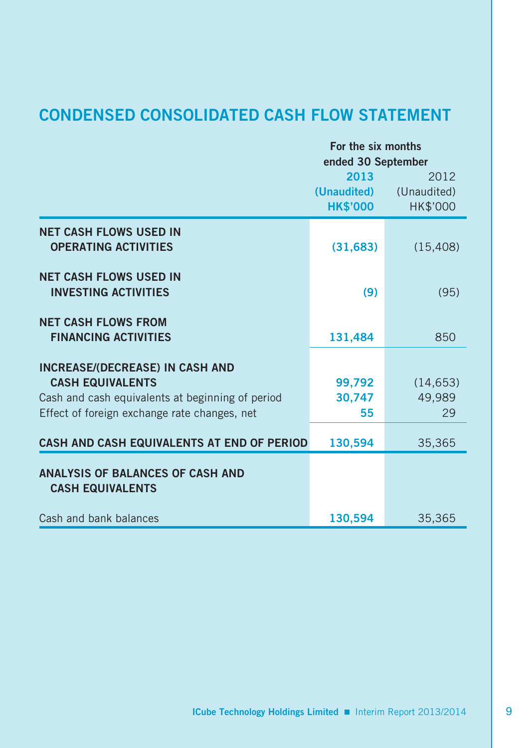# **CONDENSED CONSOLIDATED CASH FLOW STATEMENT**

|                                                  | For the six months                 |             |  |  |  |
|--------------------------------------------------|------------------------------------|-------------|--|--|--|
|                                                  | ended 30 September<br>2013<br>2012 |             |  |  |  |
|                                                  | (Unaudited)                        | (Unaudited) |  |  |  |
|                                                  | <b>HK\$'000</b>                    | HK\$'000    |  |  |  |
|                                                  |                                    |             |  |  |  |
| <b>NET CASH FLOWS USED IN</b>                    |                                    |             |  |  |  |
| <b>OPERATING ACTIVITIES</b>                      | (31, 683)                          | (15, 408)   |  |  |  |
| <b>NET CASH FLOWS USED IN</b>                    |                                    |             |  |  |  |
| <b>INVESTING ACTIVITIES</b>                      | (9)                                | (95)        |  |  |  |
| <b>NET CASH FLOWS FROM</b>                       |                                    |             |  |  |  |
| <b>FINANCING ACTIVITIES</b>                      | 131,484                            | 850         |  |  |  |
| <b>INCREASE/(DECREASE) IN CASH AND</b>           |                                    |             |  |  |  |
| <b>CASH EQUIVALENTS</b>                          | 99,792                             | (14, 653)   |  |  |  |
| Cash and cash equivalents at beginning of period | 30,747                             | 49.989      |  |  |  |
| Effect of foreign exchange rate changes, net     | 55                                 | 29          |  |  |  |
| CASH AND CASH EQUIVALENTS AT END OF PERIOD       | 130,594                            | 35,365      |  |  |  |
| ANALYSIS OF BALANCES OF CASH AND                 |                                    |             |  |  |  |
| <b>CASH EQUIVALENTS</b>                          |                                    |             |  |  |  |
|                                                  |                                    |             |  |  |  |
| Cash and bank balances                           | 130,594                            | 35,365      |  |  |  |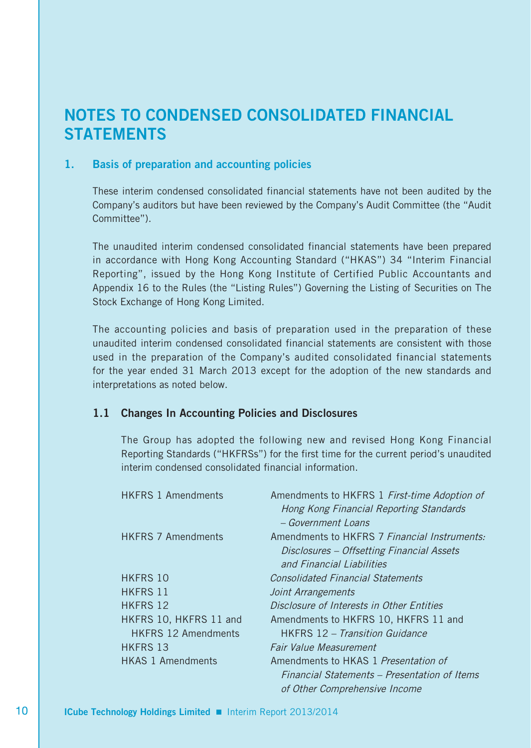# **NOTES TO CONDENSED CONSOLIDATED FINANCIAL STATEMENTS**

#### **1. Basis of preparation and accounting policies**

These interim condensed consolidated financial statements have not been audited by the Company's auditors but have been reviewed by the Company's Audit Committee (the "Audit Committee").

The unaudited interim condensed consolidated financial statements have been prepared in accordance with Hong Kong Accounting Standard ("HKAS") 34 "Interim Financial Reporting", issued by the Hong Kong Institute of Certified Public Accountants and Appendix 16 to the Rules (the "Listing Rules") Governing the Listing of Securities on The Stock Exchange of Hong Kong Limited.

The accounting policies and basis of preparation used in the preparation of these unaudited interim condensed consolidated financial statements are consistent with those used in the preparation of the Company's audited consolidated financial statements for the year ended 31 March 2013 except for the adoption of the new standards and interpretations as noted below.

#### **1.1 Changes In Accounting Policies and Disclosures**

The Group has adopted the following new and revised Hong Kong Financial Reporting Standards ("HKFRSs") for the first time for the current period's unaudited interim condensed consolidated financial information.

| <b>HKFRS 1 Amendments</b>  | Amendments to HKFRS 1 First-time Adoption of |
|----------------------------|----------------------------------------------|
|                            | Hong Kong Financial Reporting Standards      |
|                            | $-$ Government Loans                         |
| <b>HKFRS 7 Amendments</b>  | Amendments to HKFRS 7 Financial Instruments: |
|                            | Disclosures – Offsetting Financial Assets    |
|                            | and Financial Liabilities                    |
| HKFRS 10                   | <b>Consolidated Financial Statements</b>     |
| <b>HKFRS 11</b>            | Joint Arrangements                           |
| <b>HKFRS 12</b>            | Disclosure of Interests in Other Entities    |
| HKFRS 10, HKFRS 11 and     | Amendments to HKFRS 10, HKFRS 11 and         |
| <b>HKFRS 12 Amendments</b> | <b>HKFRS</b> 12 – Transition Guidance        |
| <b>HKFRS 13</b>            | Fair Value Measurement                       |
| <b>HKAS 1 Amendments</b>   | Amendments to HKAS 1 Presentation of         |
|                            | Financial Statements – Presentation of Items |
|                            | of Other Comprehensive Income                |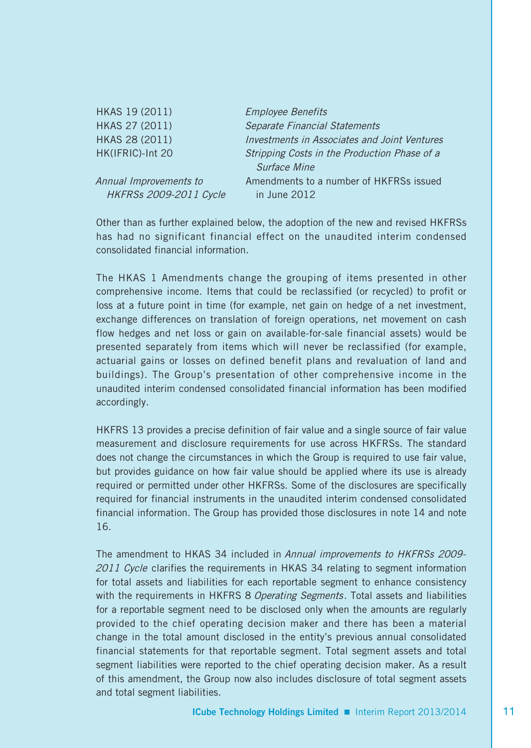| HKAS 19 (2011)                | <b>Employee Benefits</b>                     |
|-------------------------------|----------------------------------------------|
| HKAS 27 (2011)                | <b>Separate Financial Statements</b>         |
| HKAS 28 (2011)                | Investments in Associates and Joint Ventures |
| HK(IFRIC)-Int 20              | Stripping Costs in the Production Phase of a |
|                               | Surface Mine                                 |
| Annual Improvements to        | Amendments to a number of HKFRSs issued      |
| <b>HKFRSs 2009-2011 Cycle</b> | in June 2012                                 |

Other than as further explained below, the adoption of the new and revised HKFRSs has had no significant financial effect on the unaudited interim condensed consolidated financial information.

The HKAS 1 Amendments change the grouping of items presented in other comprehensive income. Items that could be reclassified (or recycled) to profit or loss at a future point in time (for example, net gain on hedge of a net investment, exchange differences on translation of foreign operations, net movement on cash flow hedges and net loss or gain on available-for-sale financial assets) would be presented separately from items which will never be reclassified (for example, actuarial gains or losses on defined benefit plans and revaluation of land and buildings). The Group's presentation of other comprehensive income in the unaudited interim condensed consolidated financial information has been modified accordingly.

HKFRS 13 provides a precise definition of fair value and a single source of fair value measurement and disclosure requirements for use across HKFRSs. The standard does not change the circumstances in which the Group is required to use fair value, but provides guidance on how fair value should be applied where its use is already required or permitted under other HKFRSs. Some of the disclosures are specifically required for financial instruments in the unaudited interim condensed consolidated financial information. The Group has provided those disclosures in note 14 and note 16.

The amendment to HKAS 34 included in Annual improvements to HKFRSs 2009-2011 Cycle clarifies the requirements in HKAS 34 relating to segment information for total assets and liabilities for each reportable segment to enhance consistency with the requirements in HKFRS 8 Operating Segments. Total assets and liabilities for a reportable segment need to be disclosed only when the amounts are regularly provided to the chief operating decision maker and there has been a material change in the total amount disclosed in the entity's previous annual consolidated financial statements for that reportable segment. Total segment assets and total segment liabilities were reported to the chief operating decision maker. As a result of this amendment, the Group now also includes disclosure of total segment assets and total segment liabilities.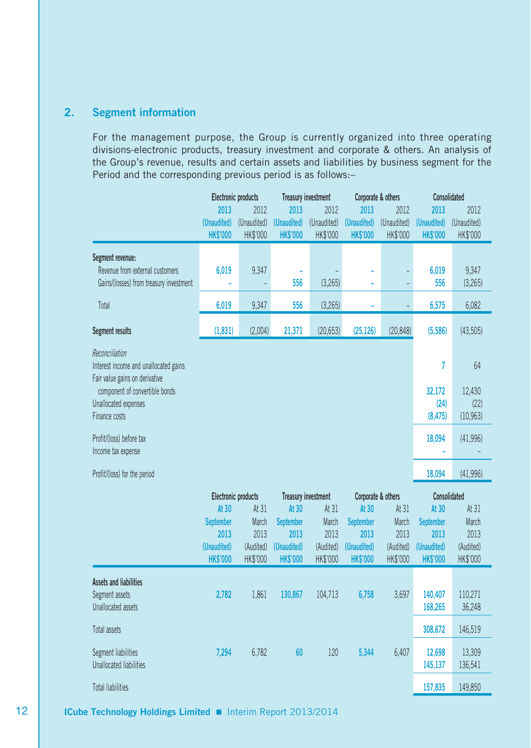#### **2. Segment information**

For the management purpose, the Group is currently organized into three operating divisions-electronic products, treasury investment and corporate & others. An analysis of the Group's revenue, results and certain assets and liabilities by business segment for the Period and the corresponding previous period is as follows:–

|                                                                                                                                                     | Electronic products |             | <b>Treasury investment</b> |                                     | Corporate & others        |             | Consolidated        |                      |
|-----------------------------------------------------------------------------------------------------------------------------------------------------|---------------------|-------------|----------------------------|-------------------------------------|---------------------------|-------------|---------------------|----------------------|
|                                                                                                                                                     | 2013                | 2012        | 2013                       | 2012                                | 2013                      | 2012        | 2013                | 2012                 |
|                                                                                                                                                     | (Unaudited)         | (Unaudited) | (Unaudited)                | (Unaudited)                         | (Unaudited)               | (Unaudited) | (Unaudited)         | (Unaudited)          |
|                                                                                                                                                     | <b>HK\$'000</b>     | HK\$'000    | <b>HK\$'000</b>            | HK\$'000                            | <b>HK\$'000</b>           | HK\$'000    | <b>HK\$'000</b>     | HK\$'000             |
| Segment revenue:<br>Revenue from external customers                                                                                                 | 6.019               | 9,347       | ä,                         |                                     |                           |             | 6.019               | 9,347                |
| Gains/(losses) from treasury investment                                                                                                             |                     |             | 556                        | (3, 265)                            |                           |             | 556                 | (3, 265)             |
| Total                                                                                                                                               | 6,019               | 9,347       | 556                        | (3, 265)                            |                           |             | 6,575               | 6,082                |
| Segment results                                                                                                                                     | (1,831)             | (2,004)     | 21,371                     | (20, 653)                           | (25, 126)                 | (20, 848)   | (5,586)             | (43,505)             |
| Reconciliation<br>Interest income and unallocated gains<br>Fair value gains on derivative<br>component of convertible bonds<br>Unallocated expenses |                     |             |                            |                                     |                           |             | 7<br>32,172<br>(24) | 64<br>12,430<br>(22) |
| Finance costs                                                                                                                                       |                     |             |                            |                                     |                           |             | (8, 475)            | (10, 963)            |
| Profit/(loss) before tax<br>Income tax expense                                                                                                      |                     |             |                            |                                     |                           |             | 18,094              | (41,996)             |
| Profit/(loss) for the period                                                                                                                        |                     |             |                            |                                     |                           |             | 18,094              | (41,996)             |
|                                                                                                                                                     | Electronic products |             |                            |                                     | Corporate & others        |             | Consolidated        |                      |
|                                                                                                                                                     | At 30               | At 31       | At 30                      | <b>Treasury investment</b><br>At 31 |                           | At 31       | At 30               | At 31                |
|                                                                                                                                                     | <b>September</b>    | March       | <b>September</b>           | March                               | At 30<br><b>September</b> | March       | <b>September</b>    | March                |
|                                                                                                                                                     | 2013                | 2013        | 2013                       | 2013                                | 2013                      | 2013        | 2013                | 2013                 |
|                                                                                                                                                     | (Unaudited)         | (Audited)   | (Unaudited)                | (Audited)                           | (Unaudited)               | (Audited)   | (Unaudited)         | (Audited)            |
|                                                                                                                                                     | <b>HK\$'000</b>     | HK\$'000    | <b>HK\$'000</b>            | HK\$'000                            | <b>HK\$'000</b>           | HK\$'000    | <b>HK\$'000</b>     | HK\$'000             |
| <b>Assets and liabilities</b>                                                                                                                       |                     |             |                            |                                     |                           |             |                     |                      |
| Segment assets<br>Unallocated assets                                                                                                                | 2,782               | 1,861       | 130,867                    | 104,713                             | 6,758                     | 3,697       | 140,407<br>168,265  | 110,271<br>36,248    |
| Total assets                                                                                                                                        |                     |             |                            |                                     |                           |             | 308,672             | 146,519              |
| Segment liabilities<br><b>Unallocated liabilities</b>                                                                                               | 7.294               | 6,782       | 60                         | 120                                 | 5,344                     | 6.407       | 12,698<br>145,137   | 13,309<br>136,541    |
| <b>Total liabilities</b>                                                                                                                            |                     |             |                            |                                     |                           |             | 157,835             | 149,850              |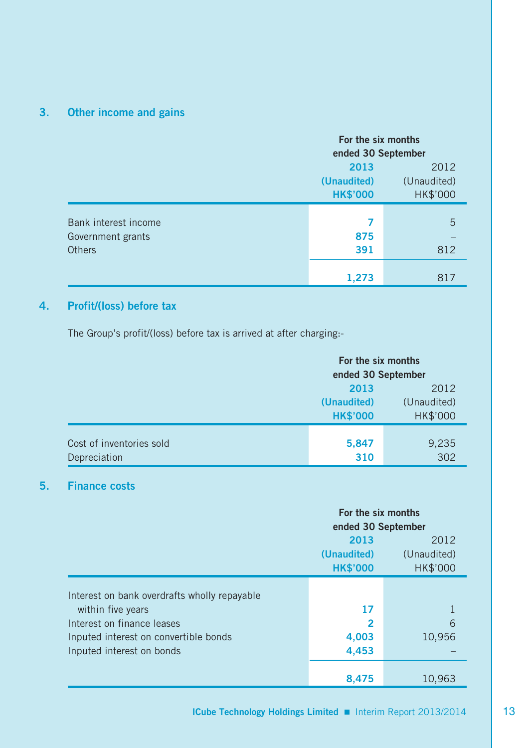# **3. Other income and gains**

|                      | For the six months<br>ended 30 September |             |  |  |
|----------------------|------------------------------------------|-------------|--|--|
|                      | 2013<br>2012                             |             |  |  |
|                      | (Unaudited)                              | (Unaudited) |  |  |
|                      | <b>HK\$'000</b>                          | HK\$'000    |  |  |
|                      |                                          |             |  |  |
| Bank interest income | 7                                        | 5           |  |  |
| Government grants    | 875                                      |             |  |  |
| <b>Others</b>        | 391                                      | 812         |  |  |
|                      |                                          |             |  |  |
|                      | 1,273                                    | 817         |  |  |

# **4. Profit/(loss) before tax**

The Group's profit/(loss) before tax is arrived at after charging:-

|                          | For the six months |             |  |
|--------------------------|--------------------|-------------|--|
|                          | ended 30 September |             |  |
|                          | 2013<br>2012       |             |  |
|                          | (Unaudited)        | (Unaudited) |  |
|                          | <b>HK\$'000</b>    | HK\$'000    |  |
|                          |                    |             |  |
| Cost of inventories sold | 5,847              | 9,235       |  |
| Depreciation             | 310                | 302         |  |

#### **5. Finance costs**

|                                              | For the six months |                    |  |  |
|----------------------------------------------|--------------------|--------------------|--|--|
|                                              |                    | ended 30 September |  |  |
|                                              | 2013               | 2012               |  |  |
|                                              | (Unaudited)        | (Unaudited)        |  |  |
|                                              | <b>HK\$'000</b>    | HK\$'000           |  |  |
|                                              |                    |                    |  |  |
| Interest on bank overdrafts wholly repayable |                    |                    |  |  |
| within five years                            | 17                 |                    |  |  |
| Interest on finance leases                   | $\overline{2}$     | 6                  |  |  |
| Inputed interest on convertible bonds        | 4,003              | 10,956             |  |  |
| Inputed interest on bonds                    | 4,453              |                    |  |  |
|                                              |                    |                    |  |  |
|                                              | 8.475              | 10.963             |  |  |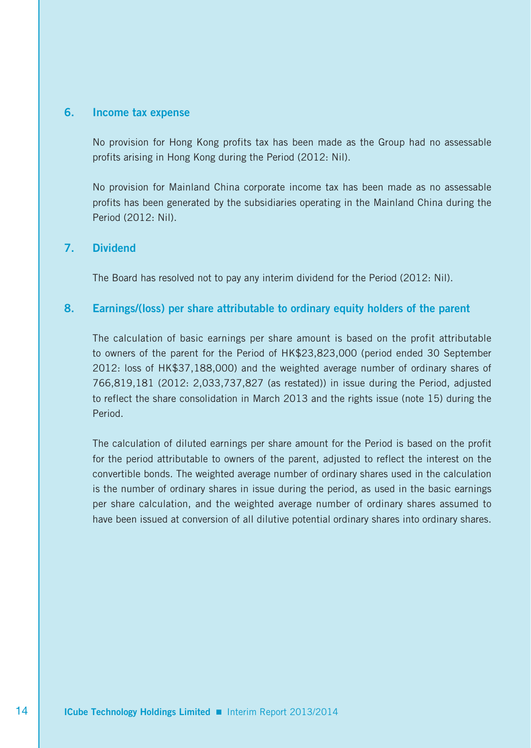#### **6. Income tax expense**

No provision for Hong Kong profits tax has been made as the Group had no assessable profits arising in Hong Kong during the Period (2012: Nil).

No provision for Mainland China corporate income tax has been made as no assessable profits has been generated by the subsidiaries operating in the Mainland China during the Period (2012: Nil).

#### **7. Dividend**

The Board has resolved not to pay any interim dividend for the Period (2012: Nil).

#### **8. Earnings/(loss) per share attributable to ordinary equity holders of the parent**

The calculation of basic earnings per share amount is based on the profit attributable to owners of the parent for the Period of HK\$23,823,000 (period ended 30 September 2012: loss of HK\$37,188,000) and the weighted average number of ordinary shares of 766,819,181 (2012: 2,033,737,827 (as restated)) in issue during the Period, adjusted to reflect the share consolidation in March 2013 and the rights issue (note 15) during the Period.

The calculation of diluted earnings per share amount for the Period is based on the profit for the period attributable to owners of the parent, adjusted to reflect the interest on the convertible bonds. The weighted average number of ordinary shares used in the calculation is the number of ordinary shares in issue during the period, as used in the basic earnings per share calculation, and the weighted average number of ordinary shares assumed to have been issued at conversion of all dilutive potential ordinary shares into ordinary shares.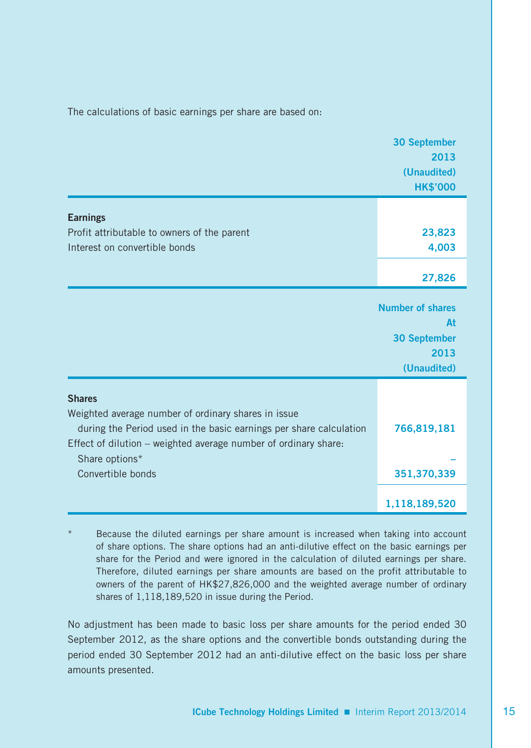The calculations of basic earnings per share are based on:

|                                                                                                                                                                                              | <b>30 September</b><br>2013<br>(Unaudited)                                  |
|----------------------------------------------------------------------------------------------------------------------------------------------------------------------------------------------|-----------------------------------------------------------------------------|
|                                                                                                                                                                                              | <b>HK\$'000</b>                                                             |
| <b>Earnings</b>                                                                                                                                                                              |                                                                             |
| Profit attributable to owners of the parent                                                                                                                                                  | 23,823                                                                      |
| Interest on convertible bonds                                                                                                                                                                | 4,003                                                                       |
|                                                                                                                                                                                              | 27,826                                                                      |
|                                                                                                                                                                                              | <b>Number of shares</b><br>At<br><b>30 September</b><br>2013<br>(Unaudited) |
| <b>Shares</b>                                                                                                                                                                                |                                                                             |
| Weighted average number of ordinary shares in issue<br>during the Period used in the basic earnings per share calculation<br>Effect of dilution - weighted average number of ordinary share: | 766,819,181                                                                 |
| Share options*<br>Convertible bonds                                                                                                                                                          | 351,370,339                                                                 |
|                                                                                                                                                                                              |                                                                             |
|                                                                                                                                                                                              | 1,118,189,520                                                               |

Because the diluted earnings per share amount is increased when taking into account of share options. The share options had an anti-dilutive effect on the basic earnings per share for the Period and were ignored in the calculation of diluted earnings per share. Therefore, diluted earnings per share amounts are based on the profit attributable to owners of the parent of HK\$27,826,000 and the weighted average number of ordinary shares of 1,118,189,520 in issue during the Period.

No adjustment has been made to basic loss per share amounts for the period ended 30 September 2012, as the share options and the convertible bonds outstanding during the period ended 30 September 2012 had an anti-dilutive effect on the basic loss per share amounts presented.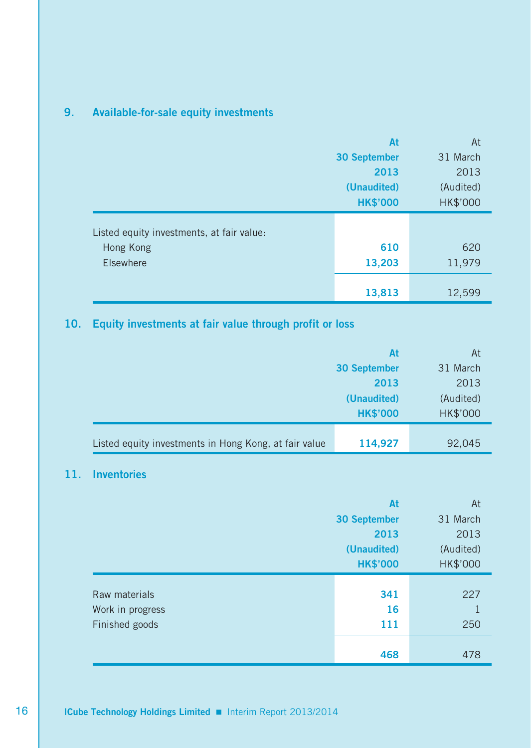# **9. Available-for-sale equity investments**

|                                           | At                  | At       |
|-------------------------------------------|---------------------|----------|
|                                           | <b>30 September</b> | 31 March |
|                                           | 2013                | 2013     |
|                                           | (Unaudited)         |          |
|                                           | <b>HK\$'000</b>     | HK\$'000 |
| Listed equity investments, at fair value: |                     |          |
| Hong Kong                                 | 610                 | 620      |
| <b>Elsewhere</b>                          | 13,203              | 11,979   |
|                                           | 13,813              | 12,599   |

# **10. Equity investments at fair value through profit or loss**

|                                                       | At                  | At       |
|-------------------------------------------------------|---------------------|----------|
|                                                       | <b>30 September</b> | 31 March |
|                                                       | 2013                |          |
|                                                       | (Audited)           |          |
|                                                       | <b>HK\$'000</b>     | HK\$'000 |
|                                                       |                     |          |
| Listed equity investments in Hong Kong, at fair value | 114,927             | 92,045   |

# **11. Inventories**

|                  | At                  | At        |
|------------------|---------------------|-----------|
|                  | <b>30 September</b> | 31 March  |
|                  | 2013                | 2013      |
|                  | (Unaudited)         | (Audited) |
|                  | <b>HK\$'000</b>     | HK\$'000  |
|                  |                     |           |
| Raw materials    | 341                 | 227       |
| Work in progress | 16                  | 1         |
| Finished goods   | 111                 | 250       |
|                  |                     |           |
|                  | 468                 | 478       |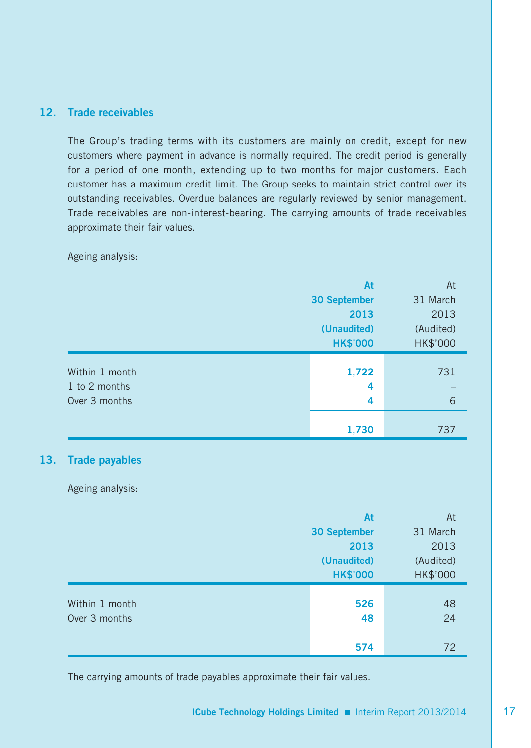#### **12. Trade receivables**

The Group's trading terms with its customers are mainly on credit, except for new customers where payment in advance is normally required. The credit period is generally for a period of one month, extending up to two months for major customers. Each customer has a maximum credit limit. The Group seeks to maintain strict control over its outstanding receivables. Overdue balances are regularly reviewed by senior management. Trade receivables are non-interest-bearing. The carrying amounts of trade receivables approximate their fair values.

Ageing analysis:

|                | At                  | At        |
|----------------|---------------------|-----------|
|                | <b>30 September</b> | 31 March  |
|                | 2013                | 2013      |
|                | (Unaudited)         | (Audited) |
|                | <b>HK\$'000</b>     | HK\$'000  |
|                |                     |           |
| Within 1 month | 1,722               | 731       |
| 1 to 2 months  | 4                   |           |
| Over 3 months  | 4                   | 6         |
|                |                     |           |
|                | 1,730               | 737       |

#### **13. Trade payables**

Ageing analysis:

|                | At                  | At        |
|----------------|---------------------|-----------|
|                | <b>30 September</b> | 31 March  |
|                | 2013                | 2013      |
|                | (Unaudited)         | (Audited) |
|                | <b>HK\$'000</b>     | HK\$'000  |
|                |                     |           |
| Within 1 month | 526                 | 48        |
| Over 3 months  | 48                  | 24        |
|                |                     |           |
|                | 574                 | 72        |

The carrying amounts of trade payables approximate their fair values.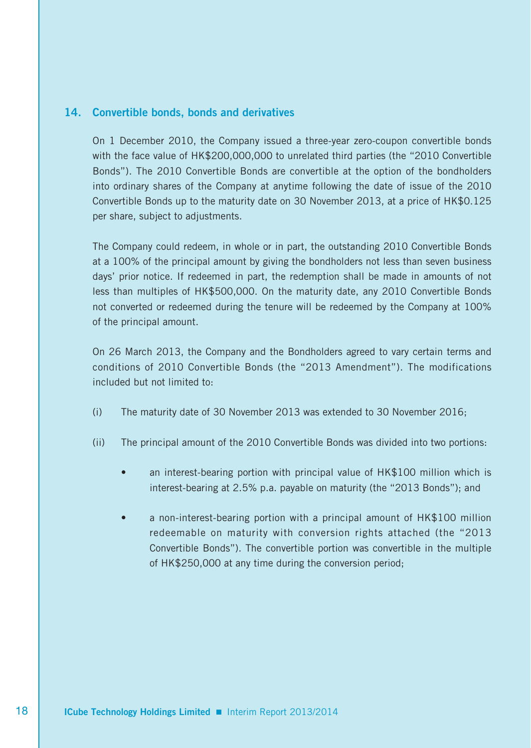#### **14. Convertible bonds, bonds and derivatives**

On 1 December 2010, the Company issued a three-year zero-coupon convertible bonds with the face value of HK\$200,000,000 to unrelated third parties (the "2010 Convertible Bonds"). The 2010 Convertible Bonds are convertible at the option of the bondholders into ordinary shares of the Company at anytime following the date of issue of the 2010 Convertible Bonds up to the maturity date on 30 November 2013, at a price of HK\$0.125 per share, subject to adjustments.

The Company could redeem, in whole or in part, the outstanding 2010 Convertible Bonds at a 100% of the principal amount by giving the bondholders not less than seven business days' prior notice. If redeemed in part, the redemption shall be made in amounts of not less than multiples of HK\$500,000. On the maturity date, any 2010 Convertible Bonds not converted or redeemed during the tenure will be redeemed by the Company at 100% of the principal amount.

On 26 March 2013, the Company and the Bondholders agreed to vary certain terms and conditions of 2010 Convertible Bonds (the "2013 Amendment"). The modifications included but not limited to:

- (i) The maturity date of 30 November 2013 was extended to 30 November 2016;
- (ii) The principal amount of the 2010 Convertible Bonds was divided into two portions:
	- an interest-bearing portion with principal value of HK\$100 million which is interest-bearing at 2.5% p.a. payable on maturity (the "2013 Bonds"); and
	- a non-interest-bearing portion with a principal amount of HK\$100 million redeemable on maturity with conversion rights attached (the "2013 Convertible Bonds"). The convertible portion was convertible in the multiple of HK\$250,000 at any time during the conversion period;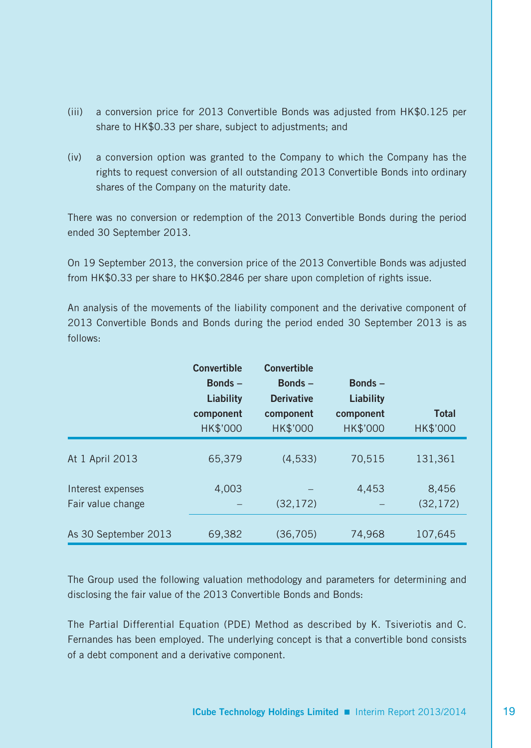- (iii) a conversion price for 2013 Convertible Bonds was adjusted from HK\$0.125 per share to HK\$0.33 per share, subject to adjustments; and
- (iv) a conversion option was granted to the Company to which the Company has the rights to request conversion of all outstanding 2013 Convertible Bonds into ordinary shares of the Company on the maturity date.

There was no conversion or redemption of the 2013 Convertible Bonds during the period ended 30 September 2013.

On 19 September 2013, the conversion price of the 2013 Convertible Bonds was adjusted from HK\$0.33 per share to HK\$0.2846 per share upon completion of rights issue.

An analysis of the movements of the liability component and the derivative component of 2013 Convertible Bonds and Bonds during the period ended 30 September 2013 is as follows:

|                                        | <b>Convertible</b> | <b>Convertible</b> |           |                    |
|----------------------------------------|--------------------|--------------------|-----------|--------------------|
|                                        | Bonds $-$          | Bonds-             | Bonds-    |                    |
|                                        | Liability          | <b>Derivative</b>  | Liability |                    |
|                                        | component          | component          | component | <b>Total</b>       |
|                                        | HK\$'000           | HK\$'000           | HK\$'000  | HK\$'000           |
| At 1 April 2013                        | 65.379             | (4, 533)           | 70.515    | 131,361            |
| Interest expenses<br>Fair value change | 4,003              | (32, 172)          | 4,453     | 8,456<br>(32, 172) |
|                                        |                    |                    |           |                    |
| As 30 September 2013                   | 69,382             | (36, 705)          | 74,968    | 107,645            |

The Group used the following valuation methodology and parameters for determining and disclosing the fair value of the 2013 Convertible Bonds and Bonds:

The Partial Differential Equation (PDE) Method as described by K. Tsiveriotis and C. Fernandes has been employed. The underlying concept is that a convertible bond consists of a debt component and a derivative component.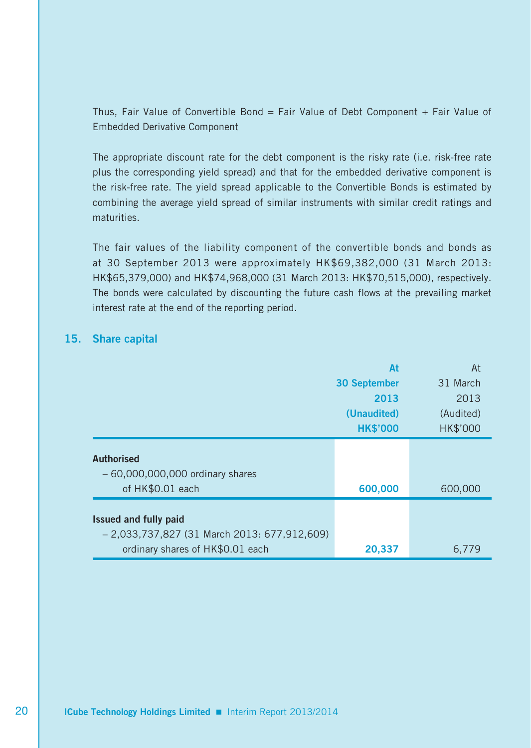Thus, Fair Value of Convertible Bond = Fair Value of Debt Component + Fair Value of Embedded Derivative Component

The appropriate discount rate for the debt component is the risky rate (i.e. risk-free rate plus the corresponding yield spread) and that for the embedded derivative component is the risk-free rate. The yield spread applicable to the Convertible Bonds is estimated by combining the average yield spread of similar instruments with similar credit ratings and maturities.

The fair values of the liability component of the convertible bonds and bonds as at 30 September 2013 were approximately HK\$69,382,000 (31 March 2013: HK\$65,379,000) and HK\$74,968,000 (31 March 2013: HK\$70,515,000), respectively. The bonds were calculated by discounting the future cash flows at the prevailing market interest rate at the end of the reporting period.

#### **15. Share capital**

|                                                                            | At                  | At              |
|----------------------------------------------------------------------------|---------------------|-----------------|
|                                                                            | <b>30 September</b> | 31 March        |
|                                                                            | 2013                | 2013            |
|                                                                            | (Unaudited)         | (Audited)       |
|                                                                            | <b>HK\$'000</b>     | <b>HK\$'000</b> |
| <b>Authorised</b><br>$-60,000,000,000$ ordinary shares<br>of HK\$0.01 each | 600,000             | 600,000         |
|                                                                            |                     |                 |
| Issued and fully paid<br>$-2,033,737,827$ (31 March 2013: 677,912,609)     |                     |                 |
| ordinary shares of HK\$0.01 each                                           | 20,337              | 6.779           |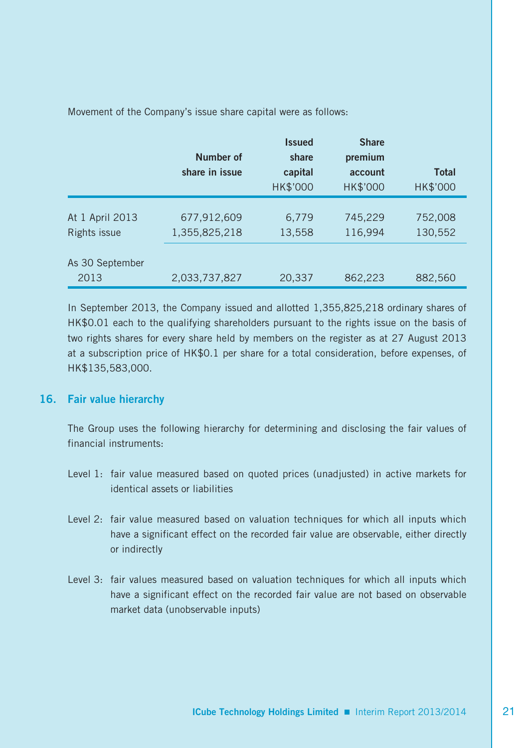|                                 | Number of<br>share in issue  | <b>Issued</b><br>share<br>capital<br>HK\$'000 | <b>Share</b><br>premium<br>account<br>HK\$'000 | <b>Total</b><br>HK\$'000 |
|---------------------------------|------------------------------|-----------------------------------------------|------------------------------------------------|--------------------------|
| At 1 April 2013<br>Rights issue | 677,912,609<br>1,355,825,218 | 6,779<br>13,558                               | 745.229<br>116,994                             | 752,008<br>130,552       |
| As 30 September<br>2013         | 2,033,737,827                | 20,337                                        | 862,223                                        | 882,560                  |

In September 2013, the Company issued and allotted 1,355,825,218 ordinary shares of HK\$0.01 each to the qualifying shareholders pursuant to the rights issue on the basis of two rights shares for every share held by members on the register as at 27 August 2013 at a subscription price of HK\$0.1 per share for a total consideration, before expenses, of HK\$135,583,000.

#### **16. Fair value hierarchy**

The Group uses the following hierarchy for determining and disclosing the fair values of financial instruments:

- Level 1: fair value measured based on quoted prices (unadjusted) in active markets for identical assets or liabilities
- Level 2: fair value measured based on valuation techniques for which all inputs which have a significant effect on the recorded fair value are observable, either directly or indirectly
- Level 3: fair values measured based on valuation techniques for which all inputs which have a significant effect on the recorded fair value are not based on observable market data (unobservable inputs)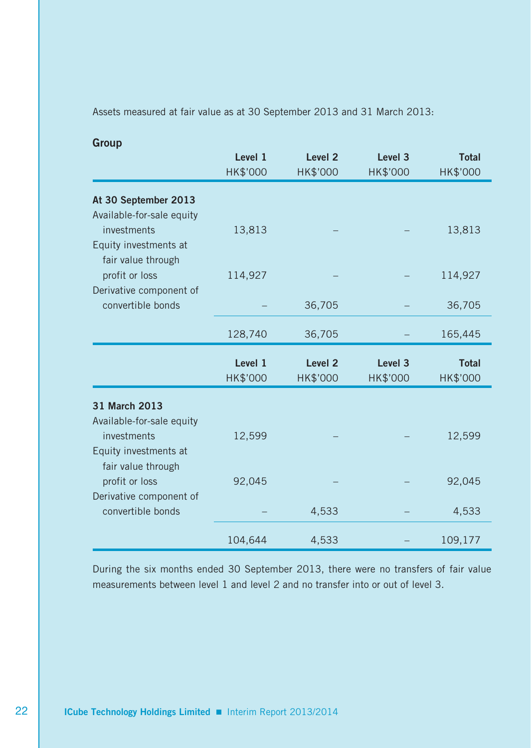Assets measured at fair value as at 30 September 2013 and 31 March 2013:

| Group                                       |          |                    |                    |              |
|---------------------------------------------|----------|--------------------|--------------------|--------------|
|                                             | Level 1  | Level <sub>2</sub> | Level 3            | <b>Total</b> |
|                                             | HK\$'000 | HK\$'000           | HK\$'000           | HK\$'000     |
| At 30 September 2013                        |          |                    |                    |              |
| Available-for-sale equity                   |          |                    |                    |              |
| investments                                 | 13,813   |                    |                    | 13,813       |
| Equity investments at<br>fair value through |          |                    |                    |              |
| profit or loss                              | 114,927  |                    |                    | 114,927      |
| Derivative component of                     |          |                    |                    |              |
| convertible bonds                           |          | 36,705             |                    | 36,705       |
|                                             | 128,740  | 36,705             |                    | 165,445      |
|                                             | Level 1  | Level <sub>2</sub> | Level <sub>3</sub> | <b>Total</b> |
|                                             | HK\$'000 | HK\$'000           | HK\$'000           | HK\$'000     |
| 31 March 2013                               |          |                    |                    |              |
| Available-for-sale equity                   |          |                    |                    |              |
| investments                                 | 12,599   |                    |                    | 12,599       |
| Equity investments at                       |          |                    |                    |              |
| fair value through                          |          |                    |                    |              |
| profit or loss                              | 92,045   |                    |                    | 92,045       |
| Derivative component of                     |          |                    |                    |              |
| convertible bonds                           |          | 4,533              |                    | 4,533        |
|                                             |          |                    |                    |              |
|                                             | 104,644  | 4,533              |                    | 109,177      |

During the six months ended 30 September 2013, there were no transfers of fair value measurements between level 1 and level 2 and no transfer into or out of level 3.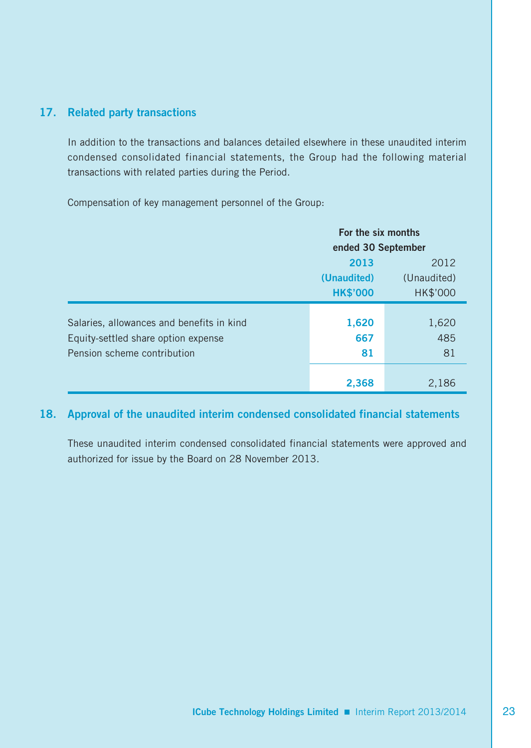#### **17. Related party transactions**

In addition to the transactions and balances detailed elsewhere in these unaudited interim condensed consolidated financial statements, the Group had the following material transactions with related parties during the Period.

Compensation of key management personnel of the Group:

|                                                                                                                 | For the six months |                    |  |
|-----------------------------------------------------------------------------------------------------------------|--------------------|--------------------|--|
|                                                                                                                 | ended 30 September |                    |  |
|                                                                                                                 | 2013<br>2012       |                    |  |
|                                                                                                                 | (Unaudited)        | (Unaudited)        |  |
|                                                                                                                 | <b>HK\$'000</b>    | HK\$'000           |  |
| Salaries, allowances and benefits in kind<br>Equity-settled share option expense<br>Pension scheme contribution | 1,620<br>667<br>81 | 1,620<br>485<br>81 |  |
|                                                                                                                 | 2,368              | 2,186              |  |

## **18. Approval of the unaudited interim condensed consolidated financial statements**

These unaudited interim condensed consolidated financial statements were approved and authorized for issue by the Board on 28 November 2013.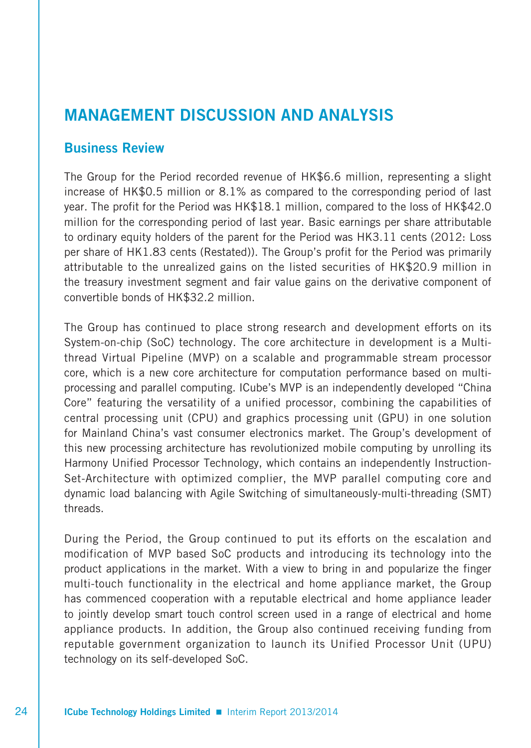# **MANAGEMENT DISCUSSION AND ANALYSIS**

# **Business Review**

The Group for the Period recorded revenue of HK\$6.6 million, representing a slight increase of HK\$0.5 million or 8.1% as compared to the corresponding period of last year. The profit for the Period was HK\$18.1 million, compared to the loss of HK\$42.0 million for the corresponding period of last year. Basic earnings per share attributable to ordinary equity holders of the parent for the Period was HK3.11 cents (2012: Loss per share of HK1.83 cents (Restated)). The Group's profit for the Period was primarily attributable to the unrealized gains on the listed securities of HK\$20.9 million in the treasury investment segment and fair value gains on the derivative component of convertible bonds of HK\$32.2 million.

The Group has continued to place strong research and development efforts on its System-on-chip (SoC) technology. The core architecture in development is a Multithread Virtual Pipeline (MVP) on a scalable and programmable stream processor core, which is a new core architecture for computation performance based on multiprocessing and parallel computing. ICube's MVP is an independently developed "China Core" featuring the versatility of a unified processor, combining the capabilities of central processing unit (CPU) and graphics processing unit (GPU) in one solution for Mainland China's vast consumer electronics market. The Group's development of this new processing architecture has revolutionized mobile computing by unrolling its Harmony Unified Processor Technology, which contains an independently Instruction-Set-Architecture with optimized complier, the MVP parallel computing core and dynamic load balancing with Agile Switching of simultaneously-multi-threading (SMT) threads.

During the Period, the Group continued to put its efforts on the escalation and modification of MVP based SoC products and introducing its technology into the product applications in the market. With a view to bring in and popularize the finger multi-touch functionality in the electrical and home appliance market, the Group has commenced cooperation with a reputable electrical and home appliance leader to jointly develop smart touch control screen used in a range of electrical and home appliance products. In addition, the Group also continued receiving funding from reputable government organization to launch its Unified Processor Unit (UPU) technology on its self-developed SoC.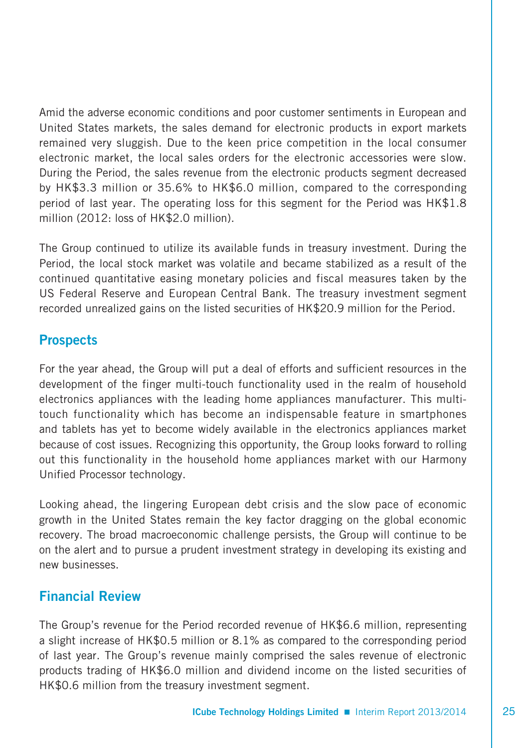Amid the adverse economic conditions and poor customer sentiments in European and United States markets, the sales demand for electronic products in export markets remained very sluggish. Due to the keen price competition in the local consumer electronic market, the local sales orders for the electronic accessories were slow. During the Period, the sales revenue from the electronic products segment decreased by HK\$3.3 million or 35.6% to HK\$6.0 million, compared to the corresponding period of last year. The operating loss for this segment for the Period was HK\$1.8 million (2012: loss of HK\$2.0 million).

The Group continued to utilize its available funds in treasury investment. During the Period, the local stock market was volatile and became stabilized as a result of the continued quantitative easing monetary policies and fiscal measures taken by the US Federal Reserve and European Central Bank. The treasury investment segment recorded unrealized gains on the listed securities of HK\$20.9 million for the Period.

# **Prospects**

For the year ahead, the Group will put a deal of efforts and sufficient resources in the development of the finger multi-touch functionality used in the realm of household electronics appliances with the leading home appliances manufacturer. This multitouch functionality which has become an indispensable feature in smartphones and tablets has yet to become widely available in the electronics appliances market because of cost issues. Recognizing this opportunity, the Group looks forward to rolling out this functionality in the household home appliances market with our Harmony Unified Processor technology.

Looking ahead, the lingering European debt crisis and the slow pace of economic growth in the United States remain the key factor dragging on the global economic recovery. The broad macroeconomic challenge persists, the Group will continue to be on the alert and to pursue a prudent investment strategy in developing its existing and new businesses.

# **Financial Review**

The Group's revenue for the Period recorded revenue of HK\$6.6 million, representing a slight increase of HK\$0.5 million or 8.1% as compared to the corresponding period of last year. The Group's revenue mainly comprised the sales revenue of electronic products trading of HK\$6.0 million and dividend income on the listed securities of HK\$0.6 million from the treasury investment segment.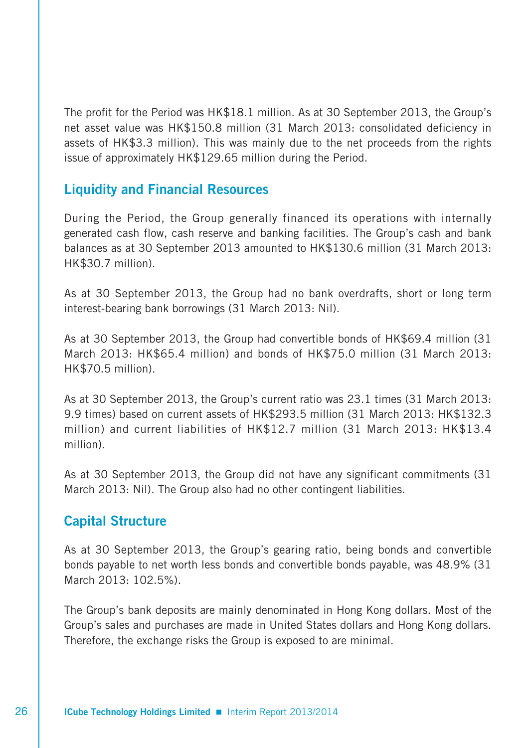The profit for the Period was HK\$18.1 million. As at 30 September 2013, the Group's net asset value was HK\$150.8 million (31 March 2013: consolidated deficiency in assets of HK\$3.3 million). This was mainly due to the net proceeds from the rights issue of approximately HK\$129.65 million during the Period.

# **Liquidity and Financial Resources**

During the Period, the Group generally financed its operations with internally generated cash flow, cash reserve and banking facilities. The Group's cash and bank balances as at 30 September 2013 amounted to HK\$130.6 million (31 March 2013: HK\$30.7 million).

As at 30 September 2013, the Group had no bank overdrafts, short or long term interest-bearing bank borrowings (31 March 2013: Nil).

As at 30 September 2013, the Group had convertible bonds of HK\$69.4 million (31 March 2013: HK\$65.4 million) and bonds of HK\$75.0 million (31 March 2013: HK\$70.5 million).

As at 30 September 2013, the Group's current ratio was 23.1 times (31 March 2013: 9.9 times) based on current assets of HK\$293.5 million (31 March 2013: HK\$132.3 million) and current liabilities of HK\$12.7 million (31 March 2013: HK\$13.4 million).

As at 30 September 2013, the Group did not have any significant commitments (31 March 2013: Nil). The Group also had no other contingent liabilities.

# **Capital Structure**

As at 30 September 2013, the Group's gearing ratio, being bonds and convertible bonds payable to net worth less bonds and convertible bonds payable, was 48.9% (31 March 2013: 102.5%)

The Group's bank deposits are mainly denominated in Hong Kong dollars. Most of the Group's sales and purchases are made in United States dollars and Hong Kong dollars. Therefore, the exchange risks the Group is exposed to are minimal.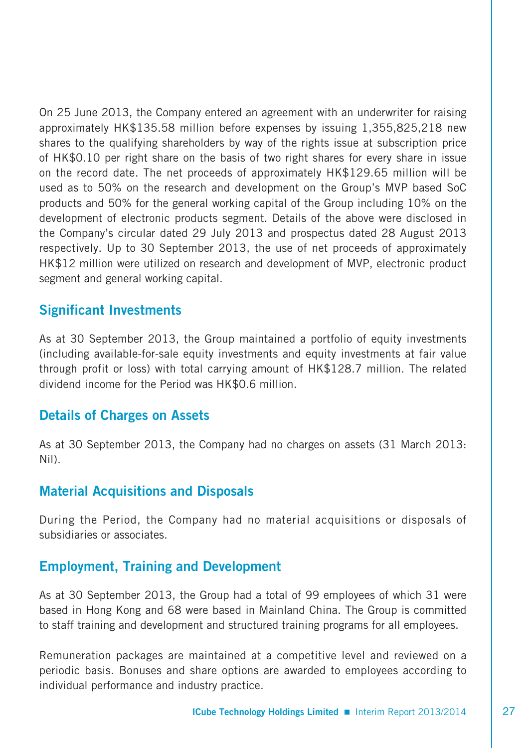On 25 June 2013, the Company entered an agreement with an underwriter for raising approximately HK\$135.58 million before expenses by issuing 1,355,825,218 new shares to the qualifying shareholders by way of the rights issue at subscription price of HK\$0.10 per right share on the basis of two right shares for every share in issue on the record date. The net proceeds of approximately HK\$129.65 million will be used as to 50% on the research and development on the Group's MVP based SoC products and 50% for the general working capital of the Group including 10% on the development of electronic products segment. Details of the above were disclosed in the Company's circular dated 29 July 2013 and prospectus dated 28 August 2013 respectively. Up to 30 September 2013, the use of net proceeds of approximately HK\$12 million were utilized on research and development of MVP, electronic product segment and general working capital.

## **Significant Investments**

As at 30 September 2013, the Group maintained a portfolio of equity investments (including available-for-sale equity investments and equity investments at fair value through profit or loss) with total carrying amount of HK\$128.7 million. The related dividend income for the Period was HK\$0.6 million.

## **Details of Charges on Assets**

As at 30 September 2013, the Company had no charges on assets (31 March 2013: Nil).

## **Material Acquisitions and Disposals**

During the Period, the Company had no material acquisitions or disposals of subsidiaries or associates.

## **Employment, Training and Development**

As at 30 September 2013, the Group had a total of 99 employees of which 31 were based in Hong Kong and 68 were based in Mainland China. The Group is committed to staff training and development and structured training programs for all employees.

Remuneration packages are maintained at a competitive level and reviewed on a periodic basis. Bonuses and share options are awarded to employees according to individual performance and industry practice.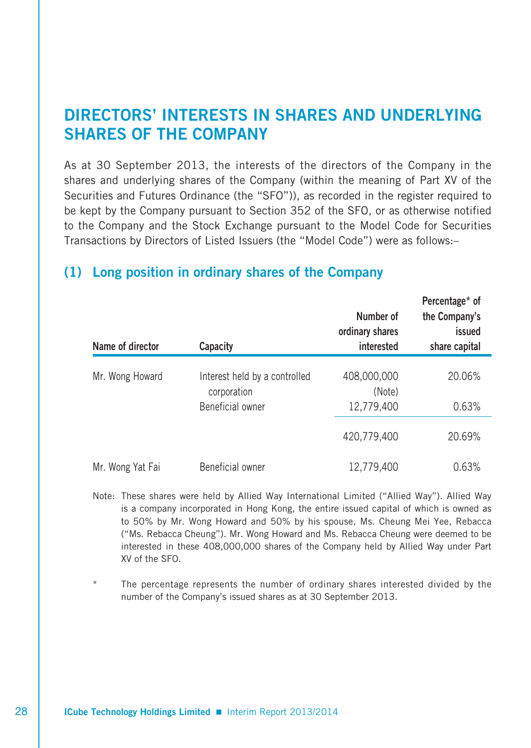# **DIRECTORS' INTERESTS IN SHARES AND UNDERLYING SHARES OF THE COMPANY**

As at 30 September 2013, the interests of the directors of the Company in the shares and underlying shares of the Company (within the meaning of Part XV of the Securities and Futures Ordinance (the "SFO")), as recorded in the register required to be kept by the Company pursuant to Section 352 of the SFO, or as otherwise notified to the Company and the Stock Exchange pursuant to the Model Code for Securities Transactions by Directors of Listed Issuers (the "Model Code") were as follows:–

# **(1) Long position in ordinary shares of the Company**

| Name of director | Capacity                                     | Number of<br>ordinary shares<br>interested | Percentage* of<br>the Company's<br>issued<br>share capital |
|------------------|----------------------------------------------|--------------------------------------------|------------------------------------------------------------|
| Mr. Wong Howard  | Interest held by a controlled<br>corporation | 408,000,000<br>(Note)                      | 20.06%                                                     |
|                  | Beneficial owner                             | 12,779,400                                 | 0.63%                                                      |
|                  |                                              | 420.779.400                                | 20.69%                                                     |
| Mr. Wong Yat Fai | Beneficial owner                             | 12,779,400                                 | 0.63%                                                      |

Note: These shares were held by Allied Way International Limited ("Allied Way"). Allied Way is a company incorporated in Hong Kong, the entire issued capital of which is owned as to 50% by Mr. Wong Howard and 50% by his spouse, Ms. Cheung Mei Yee, Rebacca ("Ms. Rebacca Cheung"). Mr. Wong Howard and Ms. Rebacca Cheung were deemed to be interested in these 408,000,000 shares of the Company held by Allied Way under Part XV of the SFO.

The percentage represents the number of ordinary shares interested divided by the number of the Company's issued shares as at 30 September 2013.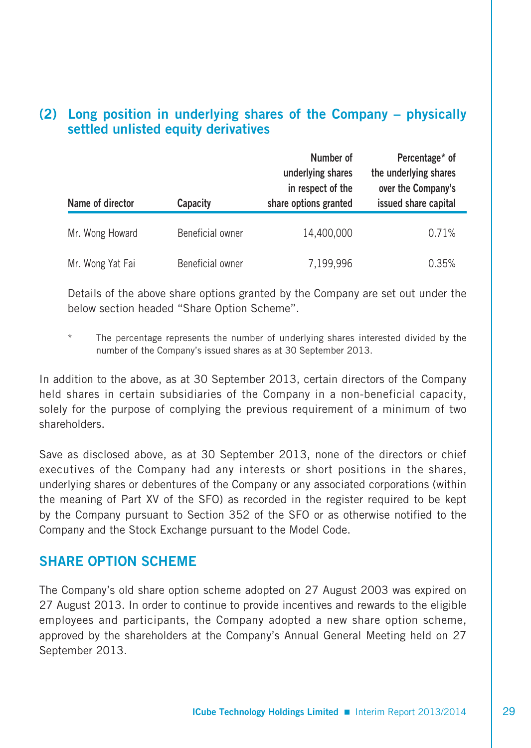# **(2) Long position in underlying shares of the Company – physically settled unlisted equity derivatives**

| Name of director | Capacity         | Number of<br>underlying shares<br>in respect of the<br>share options granted | Percentage* of<br>the underlying shares<br>over the Company's<br>issued share capital |
|------------------|------------------|------------------------------------------------------------------------------|---------------------------------------------------------------------------------------|
| Mr. Wong Howard  | Beneficial owner | 14,400,000                                                                   | 0.71%                                                                                 |
| Mr. Wong Yat Fai | Beneficial owner | 7,199,996                                                                    | 0.35%                                                                                 |

Details of the above share options granted by the Company are set out under the below section headed "Share Option Scheme".

The percentage represents the number of underlying shares interested divided by the number of the Company's issued shares as at 30 September 2013.

In addition to the above, as at 30 September 2013, certain directors of the Company held shares in certain subsidiaries of the Company in a non-beneficial capacity, solely for the purpose of complying the previous requirement of a minimum of two shareholders.

Save as disclosed above, as at 30 September 2013, none of the directors or chief executives of the Company had any interests or short positions in the shares, underlying shares or debentures of the Company or any associated corporations (within the meaning of Part XV of the SFO) as recorded in the register required to be kept by the Company pursuant to Section 352 of the SFO or as otherwise notified to the Company and the Stock Exchange pursuant to the Model Code.

## **SHARE OPTION SCHEME**

The Company's old share option scheme adopted on 27 August 2003 was expired on 27 August 2013. In order to continue to provide incentives and rewards to the eligible employees and participants, the Company adopted a new share option scheme, approved by the shareholders at the Company's Annual General Meeting held on 27 September 2013.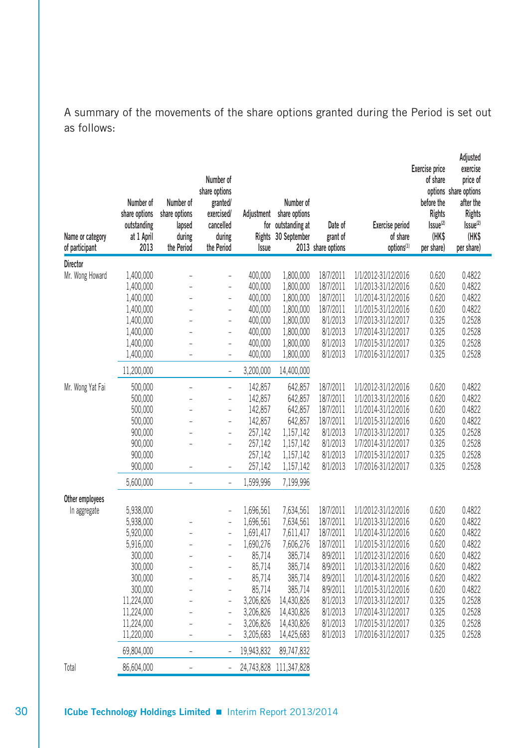A summary of the movements of the share options granted during the Period is set out as follows:

| Name or category<br>of participant  | Number of<br>share options<br>outstanding<br>at 1 April<br>2013                                                                                                    | Number of<br>share options<br>lapsed<br>during<br>the Period | Number of<br>share options<br>granted/<br>exercised/<br>cancelled<br>during<br>the Period                                                                                                                                                        | Issue                                                                                                                                                      | Number of<br>Adjustment share options<br>for outstanding at<br>Rights 30 September                                                                                 | Date of<br>grant of<br>2013 share options                                                                                                            | <b>Exercise period</b><br>of share<br>options <sup>(1)</sup>                                                                                                                                                                                                                     | Exercise price<br>of share<br>before the<br><b>Rights</b><br>Issue <sup>(2)</sup><br>(HK\$<br>per share) | Adjusted<br>exercise<br>price of<br>options share options<br>after the<br><b>Rights</b><br>Issue <sup>(2)</sup><br>(HK\$<br>per share) |
|-------------------------------------|--------------------------------------------------------------------------------------------------------------------------------------------------------------------|--------------------------------------------------------------|--------------------------------------------------------------------------------------------------------------------------------------------------------------------------------------------------------------------------------------------------|------------------------------------------------------------------------------------------------------------------------------------------------------------|--------------------------------------------------------------------------------------------------------------------------------------------------------------------|------------------------------------------------------------------------------------------------------------------------------------------------------|----------------------------------------------------------------------------------------------------------------------------------------------------------------------------------------------------------------------------------------------------------------------------------|----------------------------------------------------------------------------------------------------------|----------------------------------------------------------------------------------------------------------------------------------------|
| Director                            |                                                                                                                                                                    |                                                              |                                                                                                                                                                                                                                                  |                                                                                                                                                            |                                                                                                                                                                    |                                                                                                                                                      |                                                                                                                                                                                                                                                                                  |                                                                                                          |                                                                                                                                        |
| Mr. Wong Howard<br>Mr. Wong Yat Fai | 1,400,000<br>1,400,000<br>1,400,000<br>1,400,000<br>1,400,000<br>1,400,000<br>1,400,000<br>1,400,000<br>11,200,000<br>500,000<br>500,000<br>500,000<br>500,000     | $\overline{a}$<br>$\overline{a}$                             | $\overline{a}$<br>$\overline{a}$<br>$\overline{a}$<br>$\overline{a}$<br>$\overline{a}$<br>$\overline{a}$<br>$\overline{a}$<br>$\overline{\phantom{0}}$<br>$\overline{a}$<br>$\overline{a}$<br>$\overline{a}$<br>$\overline{a}$<br>$\overline{a}$ | 400,000<br>400,000<br>400,000<br>400,000<br>400,000<br>400,000<br>400,000<br>400,000<br>3,200,000<br>142,857<br>142,857<br>142,857<br>142,857              | 1,800,000<br>1,800,000<br>1,800,000<br>1,800,000<br>1,800,000<br>1,800,000<br>1,800,000<br>1,800,000<br>14,400,000<br>642,857<br>642,857<br>642,857<br>642,857     | 18/7/2011<br>18/7/2011<br>18/7/2011<br>18/7/2011<br>8/1/2013<br>8/1/2013<br>8/1/2013<br>8/1/2013<br>18/7/2011<br>18/7/2011<br>18/7/2011<br>18/7/2011 | 1/1/2012-31/12/2016<br>1/1/2013-31/12/2016<br>1/1/2014-31/12/2016<br>1/1/2015-31/12/2016<br>1/7/2013-31/12/2017<br>1/7/2014-31/12/2017<br>1/7/2015-31/12/2017<br>1/7/2016-31/12/2017<br>1/1/2012-31/12/2016<br>1/1/2013-31/12/2016<br>1/1/2014-31/12/2016<br>1/1/2015-31/12/2016 | 0.620<br>0.620<br>0.620<br>0.620<br>0.325<br>0.325<br>0.325<br>0.325<br>0.620<br>0.620<br>0.620<br>0.620 | 0.4822<br>0.4822<br>0.4822<br>0.4822<br>0.2528<br>0.2528<br>0.2528<br>0.2528<br>0.4822<br>0.4822<br>0.4822<br>0.4822                   |
| Other employees                     | 900,000<br>900,000<br>900,000<br>900,000<br>5,600,000                                                                                                              | $\overline{\phantom{0}}$                                     | $\overline{a}$<br>$\overline{a}$<br>$\overline{a}$<br>$\overline{a}$                                                                                                                                                                             | 257,142<br>257,142<br>257,142<br>257,142<br>1,599,996                                                                                                      | 1,157,142<br>1,157,142<br>1,157,142<br>1,157,142<br>7,199,996                                                                                                      | 8/1/2013<br>8/1/2013<br>8/1/2013<br>8/1/2013                                                                                                         | 1/7/2013-31/12/2017<br>1/7/2014-31/12/2017<br>1/7/2015-31/12/2017<br>1/7/2016-31/12/2017                                                                                                                                                                                         | 0.325<br>0.325<br>0.325<br>0.325                                                                         | 0.2528<br>0.2528<br>0.2528<br>0.2528                                                                                                   |
| In aggregate                        | 5,938,000<br>5,938,000<br>5,920,000<br>5,916,000<br>300,000<br>300,000<br>300,000<br>300,000<br>11,224,000<br>11,224,000<br>11,224,000<br>11,220,000<br>69,804,000 | $\overline{a}$<br>L<br>÷,                                    | $\overline{a}$<br>$\overline{a}$<br>$\overline{a}$<br>$\overline{a}$<br>$\overline{a}$<br>$\overline{a}$<br>$\overline{a}$<br>$\overline{a}$<br>$\overline{a}$<br>$\overline{a}$<br>$\overline{a}$<br>$\overline{a}$<br>$\overline{a}$           | 1,696,561<br>1,696,561<br>1,691,417<br>1,690,276<br>85.714<br>85,714<br>85,714<br>85,714<br>3,206,826<br>3,206,826<br>3,206,826<br>3,205,683<br>19,943,832 | 7.634.561<br>7,634,561<br>7,611,417<br>7,606,276<br>385,714<br>385,714<br>385,714<br>385,714<br>14,430,826<br>14,430,826<br>14,430,826<br>14,425,683<br>89,747,832 | 18/7/2011<br>18/7/2011<br>18/7/2011<br>18/7/2011<br>8/9/2011<br>8/9/2011<br>8/9/2011<br>8/9/2011<br>8/1/2013<br>8/1/2013<br>8/1/2013<br>8/1/2013     | 1/1/2012-31/12/2016<br>1/1/2013-31/12/2016<br>1/1/2014-31/12/2016<br>1/1/2015-31/12/2016<br>1/1/2012-31/12/2016<br>1/1/2013-31/12/2016<br>1/1/2014-31/12/2016<br>1/1/2015-31/12/2016<br>1/7/2013-31/12/2017<br>1/7/2014-31/12/2017<br>1/7/2015-31/12/2017<br>1/7/2016-31/12/2017 | 0.620<br>0.620<br>0.620<br>0.620<br>0.620<br>0.620<br>0.620<br>0.620<br>0.325<br>0.325<br>0.325<br>0.325 | 0.4822<br>0.4822<br>0.4822<br>0.4822<br>0.4822<br>0.4822<br>0.4822<br>0.4822<br>0.2528<br>0.2528<br>0.2528<br>0.2528                   |
| Total                               | 86,604,000                                                                                                                                                         | -                                                            |                                                                                                                                                                                                                                                  | 24,743,828                                                                                                                                                 | 111,347,828                                                                                                                                                        |                                                                                                                                                      |                                                                                                                                                                                                                                                                                  |                                                                                                          |                                                                                                                                        |

**30 <b>ICube Technology Holdings Limited** Interim Report 2013/2014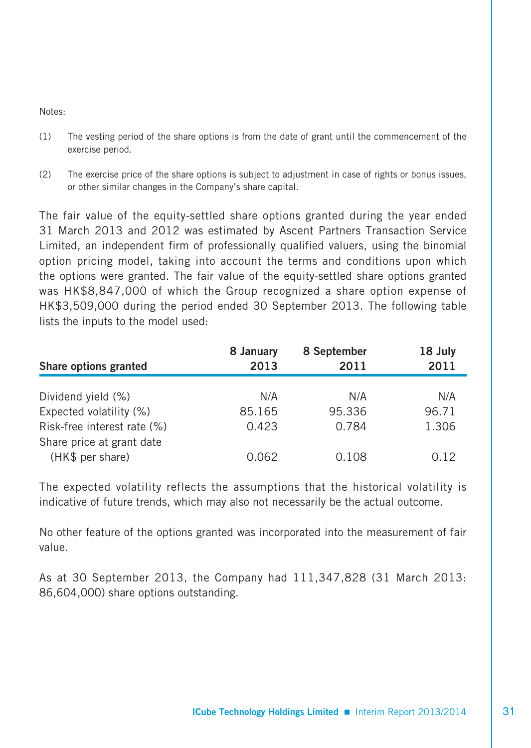Notes:

- (1) The vesting period of the share options is from the date of grant until the commencement of the exercise period.
- (2) The exercise price of the share options is subject to adjustment in case of rights or bonus issues, or other similar changes in the Company's share capital.

The fair value of the equity-settled share options granted during the year ended 31 March 2013 and 2012 was estimated by Ascent Partners Transaction Service Limited, an independent firm of professionally qualified valuers, using the binomial option pricing model, taking into account the terms and conditions upon which the options were granted. The fair value of the equity-settled share options granted was HK\$8,847,000 of which the Group recognized a share option expense of HK\$3,509,000 during the period ended 30 September 2013. The following table lists the inputs to the model used:

| Share options granted       | 8 January<br>2013 | 8 September<br>2011 | 18 July<br>2011 |
|-----------------------------|-------------------|---------------------|-----------------|
|                             |                   |                     |                 |
| Dividend yield (%)          | N/A               | N/A                 | N/A             |
| Expected volatility (%)     | 85.165            | 95.336              | 96.71           |
| Risk-free interest rate (%) | 0.423             | 0.784               | 1.306           |
| Share price at grant date   |                   |                     |                 |
| (HK\$ per share)            | 0.062             | 0.108               | 0.12            |

The expected volatility reflects the assumptions that the historical volatility is indicative of future trends, which may also not necessarily be the actual outcome.

No other feature of the options granted was incorporated into the measurement of fair value.

As at 30 September 2013, the Company had 111,347,828 (31 March 2013: 86,604,000) share options outstanding.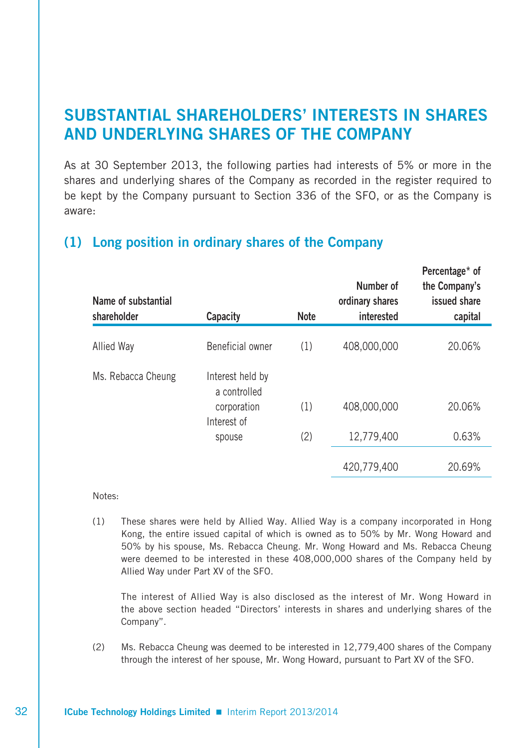# **SUBSTANTIAL SHAREHOLDERS' INTERESTS IN SHARES AND UNDERLYING SHARES OF THE COMPANY**

As at 30 September 2013, the following parties had interests of 5% or more in the shares and underlying shares of the Company as recorded in the register required to be kept by the Company pursuant to Section 336 of the SFO, or as the Company is aware:

| Name of substantial<br>shareholder | Capacity                         | <b>Note</b> | Number of<br>ordinary shares<br>interested | Percentage <sup>*</sup> of<br>the Company's<br>issued share<br>capital |
|------------------------------------|----------------------------------|-------------|--------------------------------------------|------------------------------------------------------------------------|
| Allied Way                         | Beneficial owner                 | (1)         | 408,000,000                                | 20.06%                                                                 |
| Ms. Rebacca Cheung                 | Interest held by<br>a controlled |             |                                            |                                                                        |
|                                    | corporation<br>Interest of       | (1)         | 408,000,000                                | 20.06%                                                                 |
|                                    | spouse                           | (2)         | 12,779,400                                 | 0.63%                                                                  |
|                                    |                                  |             | 420,779,400                                | 20.69%                                                                 |

# **(1) Long position in ordinary shares of the Company**

Notes:

(1) These shares were held by Allied Way. Allied Way is a company incorporated in Hong Kong, the entire issued capital of which is owned as to 50% by Mr. Wong Howard and 50% by his spouse, Ms. Rebacca Cheung. Mr. Wong Howard and Ms. Rebacca Cheung were deemed to be interested in these 408,000,000 shares of the Company held by Allied Way under Part XV of the SFO.

 The interest of Allied Way is also disclosed as the interest of Mr. Wong Howard in the above section headed "Directors' interests in shares and underlying shares of the Company".

(2) Ms. Rebacca Cheung was deemed to be interested in 12,779,400 shares of the Company through the interest of her spouse, Mr. Wong Howard, pursuant to Part XV of the SFO.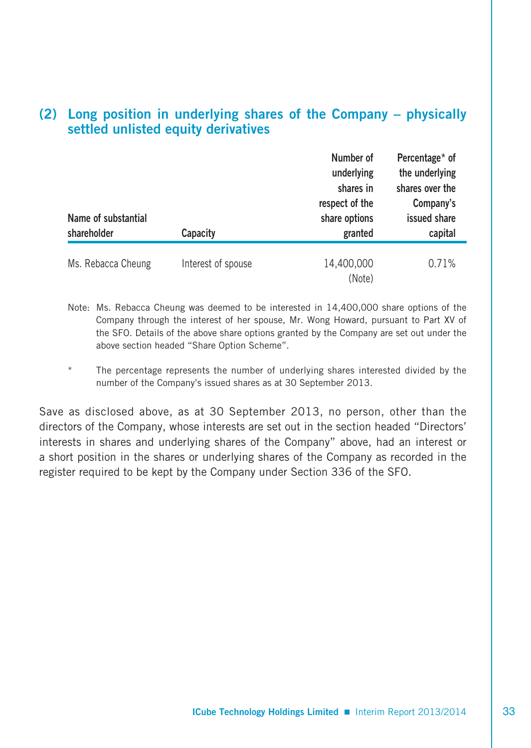# **(2) Long position in underlying shares of the Company – physically settled unlisted equity derivatives**

| Name of substantial<br>shareholder | Capacity           | Number of<br>underlying<br>shares in<br>respect of the<br>share options<br>granted | Percentage* of<br>the underlying<br>shares over the<br>Company's<br>issued share<br>capital |
|------------------------------------|--------------------|------------------------------------------------------------------------------------|---------------------------------------------------------------------------------------------|
|                                    |                    |                                                                                    |                                                                                             |
| Ms. Rebacca Cheung                 | Interest of spouse | 14,400,000<br>(Note)                                                               | 0.71%                                                                                       |

Note: Ms. Rebacca Cheung was deemed to be interested in 14,400,000 share options of the Company through the interest of her spouse, Mr. Wong Howard, pursuant to Part XV of the SFO. Details of the above share options granted by the Company are set out under the above section headed "Share Option Scheme".

The percentage represents the number of underlying shares interested divided by the number of the Company's issued shares as at 30 September 2013.

Save as disclosed above, as at 30 September 2013, no person, other than the directors of the Company, whose interests are set out in the section headed "Directors' interests in shares and underlying shares of the Company" above, had an interest or a short position in the shares or underlying shares of the Company as recorded in the register required to be kept by the Company under Section 336 of the SFO.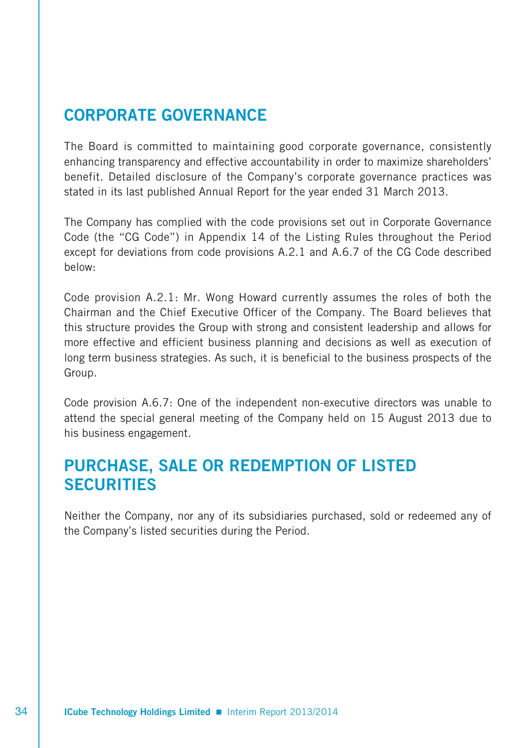# **CORPORATE GOVERNANCE**

The Board is committed to maintaining good corporate governance, consistently enhancing transparency and effective accountability in order to maximize shareholders' benefit. Detailed disclosure of the Company's corporate governance practices was stated in its last published Annual Report for the year ended 31 March 2013.

The Company has complied with the code provisions set out in Corporate Governance Code (the "CG Code") in Appendix 14 of the Listing Rules throughout the Period except for deviations from code provisions A.2.1 and A.6.7 of the CG Code described below:

Code provision A.2.1: Mr. Wong Howard currently assumes the roles of both the Chairman and the Chief Executive Officer of the Company. The Board believes that this structure provides the Group with strong and consistent leadership and allows for more effective and efficient business planning and decisions as well as execution of long term business strategies. As such, it is beneficial to the business prospects of the Group.

Code provision A.6.7: One of the independent non-executive directors was unable to attend the special general meeting of the Company held on 15 August 2013 due to his business engagement.

# **PURCHASE, SALE OR REDEMPTION OF LISTED SECURITIES**

Neither the Company, nor any of its subsidiaries purchased, sold or redeemed any of the Company's listed securities during the Period.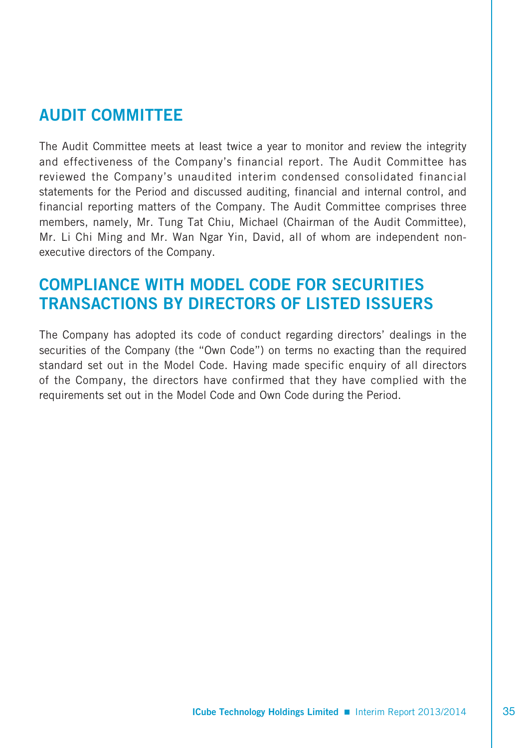# **AUDIT COMMITTEE**

The Audit Committee meets at least twice a year to monitor and review the integrity and effectiveness of the Company's financial report. The Audit Committee has reviewed the Company's unaudited interim condensed consolidated financial statements for the Period and discussed auditing, financial and internal control, and financial reporting matters of the Company. The Audit Committee comprises three members, namely, Mr. Tung Tat Chiu, Michael (Chairman of the Audit Committee), Mr. Li Chi Ming and Mr. Wan Ngar Yin, David, all of whom are independent nonexecutive directors of the Company.

# **COMPLIANCE WITH MODEL CODE FOR SECURITIES TRANSACTIONS BY DIRECTORS OF LISTED ISSUERS**

The Company has adopted its code of conduct regarding directors' dealings in the securities of the Company (the "Own Code") on terms no exacting than the required standard set out in the Model Code. Having made specific enquiry of all directors of the Company, the directors have confirmed that they have complied with the requirements set out in the Model Code and Own Code during the Period.